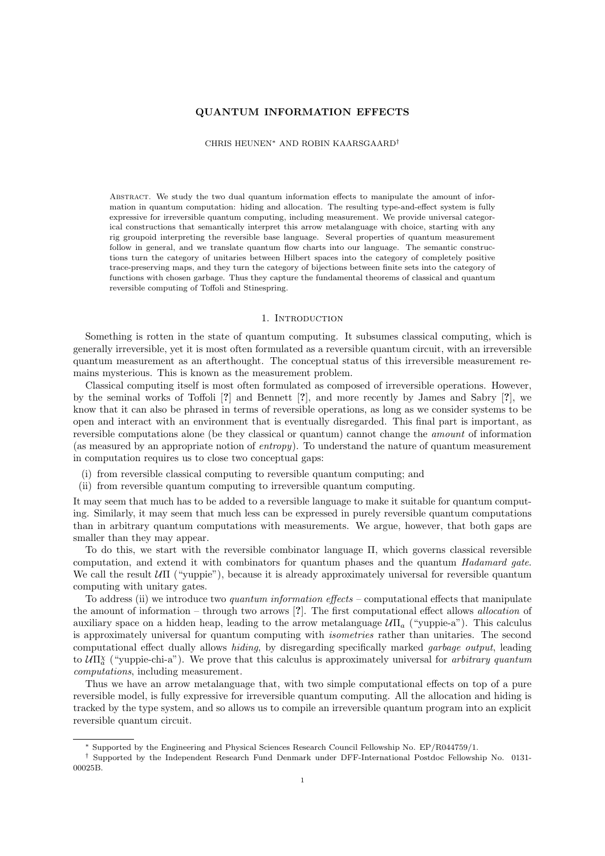## QUANTUM INFORMATION EFFECTS

CHRIS HEUNEN<sup>∗</sup> AND ROBIN KAARSGAARD†

ABSTRACT. We study the two dual quantum information effects to manipulate the amount of information in quantum computation: hiding and allocation. The resulting type-and-effect system is fully expressive for irreversible quantum computing, including measurement. We provide universal categorical constructions that semantically interpret this arrow metalanguage with choice, starting with any rig groupoid interpreting the reversible base language. Several properties of quantum measurement follow in general, and we translate quantum flow charts into our language. The semantic constructions turn the category of unitaries between Hilbert spaces into the category of completely positive trace-preserving maps, and they turn the category of bijections between finite sets into the category of functions with chosen garbage. Thus they capture the fundamental theorems of classical and quantum reversible computing of Toffoli and Stinespring.

### 1. INTRODUCTION

Something is rotten in the state of quantum computing. It subsumes classical computing, which is generally irreversible, yet it is most often formulated as a reversible quantum circuit, with an irreversible quantum measurement as an afterthought. The conceptual status of this irreversible measurement remains mysterious. This is known as the measurement problem.

Classical computing itself is most often formulated as composed of irreversible operations. However, by the seminal works of Toffoli [?] and Bennett [?], and more recently by James and Sabry [?], we know that it can also be phrased in terms of reversible operations, as long as we consider systems to be open and interact with an environment that is eventually disregarded. This final part is important, as reversible computations alone (be they classical or quantum) cannot change the amount of information (as measured by an appropriate notion of entropy). To understand the nature of quantum measurement in computation requires us to close two conceptual gaps:

- (i) from reversible classical computing to reversible quantum computing; and
- (ii) from reversible quantum computing to irreversible quantum computing.

It may seem that much has to be added to a reversible language to make it suitable for quantum computing. Similarly, it may seem that much less can be expressed in purely reversible quantum computations than in arbitrary quantum computations with measurements. We argue, however, that both gaps are smaller than they may appear.

To do this, we start with the reversible combinator language Π, which governs classical reversible computation, and extend it with combinators for quantum phases and the quantum Hadamard gate. We call the result  $\mathcal{U}\Pi$  ("yuppie"), because it is already approximately universal for reversible quantum computing with unitary gates.

To address (ii) we introduce two *quantum information effects* – computational effects that manipulate the amount of information – through two arrows [?]. The first computational effect allows allocation of auxiliary space on a hidden heap, leading to the arrow metalanguage  $U\Pi_a$  ("yuppie-a"). This calculus is approximately universal for quantum computing with isometries rather than unitaries. The second computational effect dually allows hiding, by disregarding specifically marked garbage output, leading to  $U\Pi_{a}^{\chi}$  ("yuppie-chi-a"). We prove that this calculus is approximately universal for *arbitrary quantum* computations, including measurement.

Thus we have an arrow metalanguage that, with two simple computational effects on top of a pure reversible model, is fully expressive for irreversible quantum computing. All the allocation and hiding is tracked by the type system, and so allows us to compile an irreversible quantum program into an explicit reversible quantum circuit.

<sup>∗</sup> Supported by the Engineering and Physical Sciences Research Council Fellowship No. EP/R044759/1.

<sup>†</sup> Supported by the Independent Research Fund Denmark under DFF-International Postdoc Fellowship No. 0131- 00025B.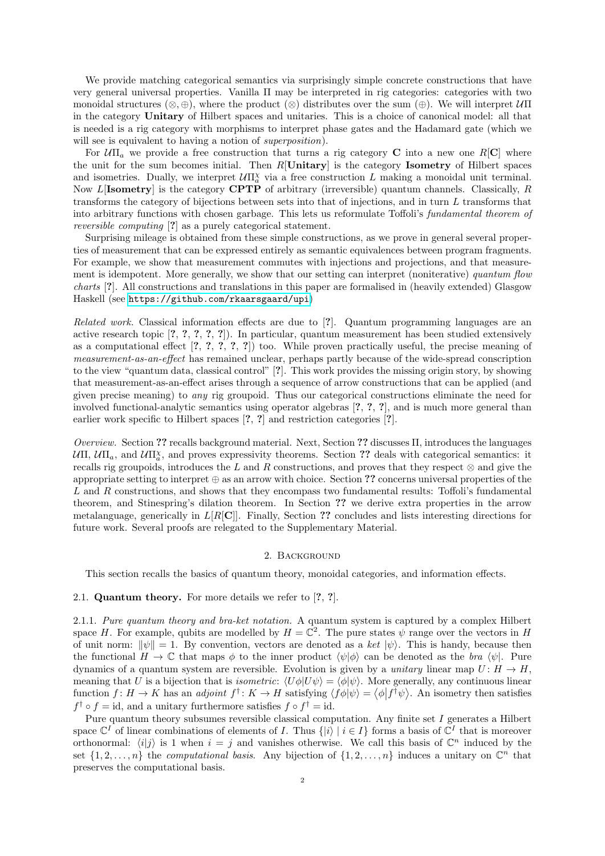We provide matching categorical semantics via surprisingly simple concrete constructions that have very general universal properties. Vanilla Π may be interpreted in rig categories: categories with two monoidal structures (⊗, ⊕), where the product (⊗) distributes over the sum (⊕). We will interpret  $\mathcal{U}\Pi$ in the category Unitary of Hilbert spaces and unitaries. This is a choice of canonical model: all that is needed is a rig category with morphisms to interpret phase gates and the Hadamard gate (which we will see is equivalent to having a notion of *superposition*).

For  $U\Pi_a$  we provide a free construction that turns a rig category **C** into a new one R[**C**] where the unit for the sum becomes initial. Then  $R[\text{Unitary}]$  is the category **Isometry** of Hilbert spaces and isometries. Dually, we interpret  $U\Pi^{\chi}_{a}$  via a free construction L making a monoidal unit terminal. Now L[Isometry] is the category CPTP of arbitrary (irreversible) quantum channels. Classically, R transforms the category of bijections between sets into that of injections, and in turn L transforms that into arbitrary functions with chosen garbage. This lets us reformulate Toffoli's fundamental theorem of reversible computing [?] as a purely categorical statement.

Surprising mileage is obtained from these simple constructions, as we prove in general several properties of measurement that can be expressed entirely as semantic equivalences between program fragments. For example, we show that measurement commutes with injections and projections, and that measurement is idempotent. More generally, we show that our setting can interpret (noniterative) quantum flow charts [?]. All constructions and translations in this paper are formalised in (heavily extended) Glasgow Haskell (see <https://github.com/rkaarsgaard/upi>)

Related work. Classical information effects are due to [?]. Quantum programming languages are an active research topic [?, ?, ?, ?, ?]). In particular, quantum measurement has been studied extensively as a computational effect [?, ?, ?, ?, ?]) too. While proven practically useful, the precise meaning of measurement-as-an-effect has remained unclear, perhaps partly because of the wide-spread conscription to the view "quantum data, classical control" [?]. This work provides the missing origin story, by showing that measurement-as-an-effect arises through a sequence of arrow constructions that can be applied (and given precise meaning) to any rig groupoid. Thus our categorical constructions eliminate the need for involved functional-analytic semantics using operator algebras [?, ?, ?], and is much more general than earlier work specific to Hilbert spaces [?, ?] and restriction categories [?].

Overview. Section ?? recalls background material. Next, Section ?? discusses Π, introduces the languages  $\mathcal{U}\Pi, \mathcal{U}\Pi_a$ , and  $\mathcal{U}\Pi_x^{\chi}$ , and proves expressivity theorems. Section ?? deals with categorical semantics: it recalls rig groupoids, introduces the L and R constructions, and proves that they respect  $\otimes$  and give the appropriate setting to interpret ⊕ as an arrow with choice. Section ?? concerns universal properties of the L and R constructions, and shows that they encompass two fundamental results: Toffoli's fundamental theorem, and Stinespring's dilation theorem. In Section ?? we derive extra properties in the arrow metalanguage, generically in  $L[R[\mathbf{C}]]$ . Finally, Section ?? concludes and lists interesting directions for future work. Several proofs are relegated to the Supplementary Material.

### 2. Background

This section recalls the basics of quantum theory, monoidal categories, and information effects.

# 2.1. Quantum theory. For more details we refer to [?, ?].

2.1.1. Pure quantum theory and bra-ket notation. A quantum system is captured by a complex Hilbert space H. For example, qubits are modelled by  $H = \mathbb{C}^2$ . The pure states  $\psi$  range over the vectors in H of unit norm:  $\|\psi\| = 1$ . By convention, vectors are denoted as a ket  $|\psi\rangle$ . This is handy, because then the functional  $H \to \mathbb{C}$  that maps  $\phi$  to the inner product  $\langle \psi | \phi \rangle$  can be denoted as the bra  $\langle \psi |$ . Pure dynamics of a quantum system are reversible. Evolution is given by a *unitary* linear map  $U: H \to H$ , meaning that U is a bijection that is *isometric:*  $\langle U\phi|U\psi\rangle = \langle \phi|\psi\rangle$ . More generally, any continuous linear function  $f: H \to K$  has an *adjoint*  $f^{\dagger}: K \to H$  satisfying  $\langle f \phi | \psi \rangle = \langle \phi | f^{\dagger} \psi \rangle$ . An isometry then satisfies  $f^{\dagger} \circ f = id$ , and a unitary furthermore satisfies  $f \circ f^{\dagger} = id$ .

Pure quantum theory subsumes reversible classical computation. Any finite set  $I$  generates a Hilbert space  $\mathbb{C}^I$  of linear combinations of elements of I. Thus  $\{|i\rangle | i \in I\}$  forms a basis of  $\mathbb{C}^I$  that is moreover orthonormal:  $\langle i|j \rangle$  is 1 when  $i = j$  and vanishes otherwise. We call this basis of  $\mathbb{C}^n$  induced by the set  $\{1, 2, \ldots, n\}$  the computational basis. Any bijection of  $\{1, 2, \ldots, n\}$  induces a unitary on  $\mathbb{C}^n$  that preserves the computational basis.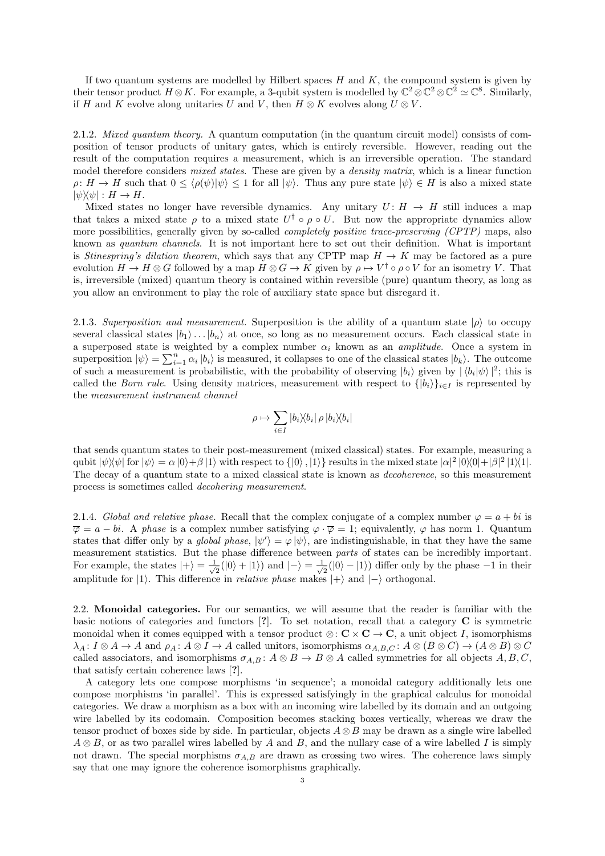If two quantum systems are modelled by Hilbert spaces  $H$  and  $K$ , the compound system is given by their tensor product  $H \otimes K$ . For example, a 3-qubit system is modelled by  $\mathbb{C}^2 \otimes \mathbb{C}^2 \otimes \mathbb{C}^2 \simeq \mathbb{C}^8$ . Similarly, if H and K evolve along unitaries U and V, then  $H \otimes K$  evolves along  $U \otimes V$ .

2.1.2. Mixed quantum theory. A quantum computation (in the quantum circuit model) consists of composition of tensor products of unitary gates, which is entirely reversible. However, reading out the result of the computation requires a measurement, which is an irreversible operation. The standard model therefore considers *mixed states*. These are given by a *density matrix*, which is a linear function  $\rho: H \to H$  such that  $0 \leq \langle \rho(\psi) | \psi \rangle \leq 1$  for all  $|\psi\rangle$ . Thus any pure state  $|\psi\rangle \in H$  is also a mixed state  $|\psi\rangle\!\langle\psi| : H \to H.$ 

Mixed states no longer have reversible dynamics. Any unitary  $U: H \to H$  still induces a map that takes a mixed state  $\rho$  to a mixed state  $U^{\dagger} \circ \rho \circ U$ . But now the appropriate dynamics allow more possibilities, generally given by so-called *completely positive trace-preserving (CPTP)* maps, also known as quantum channels. It is not important here to set out their definition. What is important is Stinespring's dilation theorem, which says that any CPTP map  $H \to K$  may be factored as a pure evolution  $H \to H \otimes G$  followed by a map  $H \otimes G \to K$  given by  $\rho \mapsto V^{\dagger} \circ \rho \circ V$  for an isometry V. That is, irreversible (mixed) quantum theory is contained within reversible (pure) quantum theory, as long as you allow an environment to play the role of auxiliary state space but disregard it.

2.1.3. Superposition and measurement. Superposition is the ability of a quantum state  $|\rho\rangle$  to occupy several classical states  $|b_1\rangle \dots |b_n\rangle$  at once, so long as no measurement occurs. Each classical state in a superposed state is weighted by a complex number  $\alpha_i$  known as an *amplitude*. Once a system in superposition  $|\psi\rangle = \sum_{i=1}^n \alpha_i |b_i\rangle$  is measured, it collapses to one of the classical states  $|b_k\rangle$ . The outcome of such a measurement is probabilistic, with the probability of observing  $|b_i\rangle$  given by  $|\langle b_i | \psi \rangle|^2$ ; this is called the Born rule. Using density matrices, measurement with respect to  $\{|b_i\rangle\}_{i\in I}$  is represented by the measurement instrument channel

$$
\rho \mapsto \sum_{i \in I} |b_i \rangle\!\langle b_i | \, \rho \, |b_i \rangle\!\langle b_i |
$$

that sends quantum states to their post-measurement (mixed classical) states. For example, measuring a qubit  $|\psi\rangle\langle\psi|$  for  $|\psi\rangle = \alpha |0\rangle + \beta |1\rangle$  with respect to  $\{|0\rangle, |1\rangle\}$  results in the mixed state  $|\alpha|^2 |0\rangle\langle0| + |\beta|^2 |1\rangle\langle1|$ . The decay of a quantum state to a mixed classical state is known as decoherence, so this measurement process is sometimes called decohering measurement.

2.1.4. Global and relative phase. Recall that the complex conjugate of a complex number  $\varphi = a + bi$  is  $\overline{\varphi} = a - bi$ . A phase is a complex number satisfying  $\varphi \cdot \overline{\varphi} = 1$ ; equivalently,  $\varphi$  has norm 1. Quantum states that differ only by a *global phase*,  $|\psi'\rangle = \varphi |\psi\rangle$ , are indistinguishable, in that they have the same measurement statistics. But the phase difference between parts of states can be incredibly important. For example, the states  $|+\rangle = \frac{1}{\sqrt{2}}$  $\frac{1}{2}(|0\rangle + |1\rangle)$  and  $|-\rangle = \frac{1}{\sqrt{2}}$  $\frac{1}{2}(|0\rangle - |1\rangle)$  differ only by the phase  $-1$  in their amplitude for |1). This difference in *relative phase* makes  $|+\rangle$  and  $|-\rangle$  orthogonal.

2.2. Monoidal categories. For our semantics, we will assume that the reader is familiar with the basic notions of categories and functors [?]. To set notation, recall that a category C is symmetric monoidal when it comes equipped with a tensor product  $\otimes : \mathbf{C} \times \mathbf{C} \to \mathbf{C}$ , a unit object I, isomorphisms  $\lambda_A: I \otimes A \to A$  and  $\rho_A: A \otimes I \to A$  called unitors, isomorphisms  $\alpha_{A,B,C}: A \otimes (B \otimes C) \to (A \otimes B) \otimes C$ called associators, and isomorphisms  $\sigma_{A,B} : A \otimes B \to B \otimes A$  called symmetries for all objects  $A, B, C$ , that satisfy certain coherence laws [?].

A category lets one compose morphisms 'in sequence'; a monoidal category additionally lets one compose morphisms 'in parallel'. This is expressed satisfyingly in the graphical calculus for monoidal categories. We draw a morphism as a box with an incoming wire labelled by its domain and an outgoing wire labelled by its codomain. Composition becomes stacking boxes vertically, whereas we draw the tensor product of boxes side by side. In particular, objects  $A \otimes B$  may be drawn as a single wire labelled  $A \otimes B$ , or as two parallel wires labelled by A and B, and the nullary case of a wire labelled I is simply not drawn. The special morphisms  $\sigma_{A,B}$  are drawn as crossing two wires. The coherence laws simply say that one may ignore the coherence isomorphisms graphically.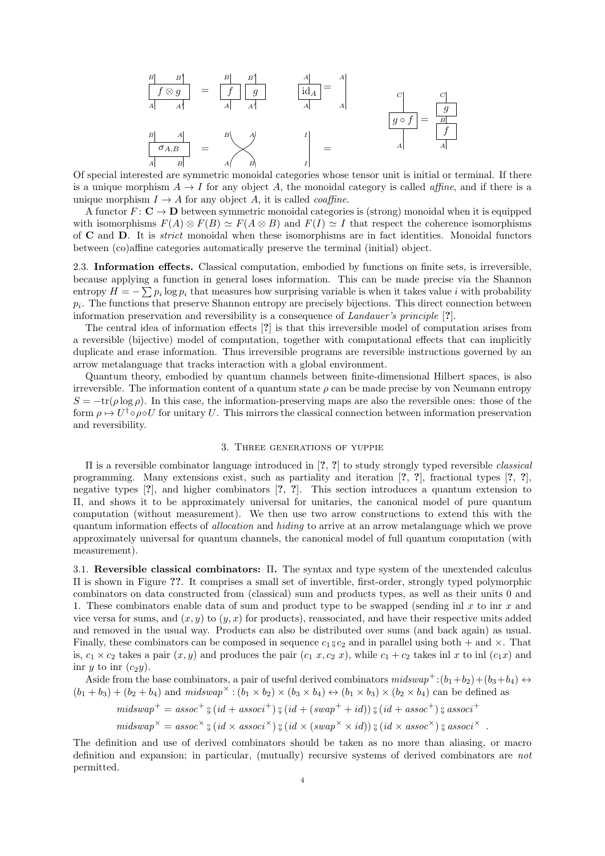$$
\begin{array}{c|c}\nB & B' \\
\hline\nf \otimes g \\
A & A'\n\end{array} = \n\begin{array}{c|c}\nB & B' \\
\hline\nf & g \\
\hline\nA & A'\n\end{array} \n\qquad\n\begin{array}{c|c}\nA \\
\text{id}_A = A \\
\hline\nA & \\
\hline\nA & \\
\hline\nA & \\
\hline\n\end{array}\n\qquad\n\begin{array}{c|c}\nC \\
\hline\ng \circ f = \n\begin{array}{c|c}\n\hline\ng \\
\hline\nB & \\
\hline\nf \\
\hline\nA & \\
\hline\n\end{array}
$$

Of special interested are symmetric monoidal categories whose tensor unit is initial or terminal. If there is a unique morphism  $A \to I$  for any object A, the monoidal category is called *affine*, and if there is a unique morphism  $I \rightarrow A$  for any object A, it is called *coaffine*.

A functor  $F: \mathbf{C} \to \mathbf{D}$  between symmetric monoidal categories is (strong) monoidal when it is equipped with isomorphisms  $F(A) \otimes F(B) \simeq F(A \otimes B)$  and  $F(I) \simeq I$  that respect the coherence isomorphisms of C and D. It is strict monoidal when these isomorphisms are in fact identities. Monoidal functors between (co)affine categories automatically preserve the terminal (initial) object.

2.3. Information effects. Classical computation, embodied by functions on finite sets, is irreversible, because applying a function in general loses information. This can be made precise via the Shannon entropy  $H = -\sum p_i \log p_i$  that measures how surprising variable is when it takes value i with probability  $p_i$ . The functions that preserve Shannon entropy are precisely bijections. This direct connection between information preservation and reversibility is a consequence of Landauer's principle [?].

The central idea of information effects [?] is that this irreversible model of computation arises from a reversible (bijective) model of computation, together with computational effects that can implicitly duplicate and erase information. Thus irreversible programs are reversible instructions governed by an arrow metalanguage that tracks interaction with a global environment.

Quantum theory, embodied by quantum channels between finite-dimensional Hilbert spaces, is also irreversible. The information content of a quantum state  $\rho$  can be made precise by von Neumann entropy  $S = -\text{tr}(\rho \log \rho)$ . In this case, the information-preserving maps are also the reversible ones: those of the form  $\rho \mapsto U^{\dagger} \circ \rho \circ U$  for unitary U. This mirrors the classical connection between information preservation and reversibility.

### 3. Three generations of yuppie

Π is a reversible combinator language introduced in [?, ?] to study strongly typed reversible classical programming. Many extensions exist, such as partiality and iteration [?, ?], fractional types [?, ?], negative types [?], and higher combinators [?, ?]. This section introduces a quantum extension to Π, and shows it to be approximately universal for unitaries, the canonical model of pure quantum computation (without measurement). We then use two arrow constructions to extend this with the quantum information effects of allocation and hiding to arrive at an arrow metalanguage which we prove approximately universal for quantum channels, the canonical model of full quantum computation (with measurement).

3.1. Reversible classical combinators: Π. The syntax and type system of the unextended calculus Π is shown in Figure ??. It comprises a small set of invertible, first-order, strongly typed polymorphic combinators on data constructed from (classical) sum and products types, as well as their units 0 and 1. These combinators enable data of sum and product type to be swapped (sending inl  $x$  to inr  $x$  and vice versa for sums, and  $(x, y)$  to  $(y, x)$  for products), reassociated, and have their respective units added and removed in the usual way. Products can also be distributed over sums (and back again) as usual. Finally, these combinators can be composed in sequence  $c_1 \, \frac{1}{2} c_2$  and in parallel using both  $+$  and  $\times$ . That is,  $c_1 \times c_2$  takes a pair  $(x, y)$  and produces the pair  $(c_1 x, c_2 x)$ , while  $c_1 + c_2$  takes inl x to inl  $(c_1 x)$  and inr y to inr  $(c_2y)$ .

Aside from the base combinators, a pair of useful derived combinators  $midswap^+:(b_1+b_2)+(b_3+b_4) \leftrightarrow$  $(b_1 + b_3) + (b_2 + b_4)$  and  $midswap^{\times} : (b_1 \times b_2) \times (b_3 \times b_4) \leftrightarrow (b_1 \times b_3) \times (b_2 \times b_4)$  can be defined as

$$
midswap^+ = assoc^+ \, \mathcal{G} \, (id + assoc^+) \, \mathcal{G} \, (id + (swap^+ + id)) \, \mathcal{G} \, (id + assoc^+) \, \mathcal{G} \, associated\,
$$

$$
midswap^{\times} = assoc^{\times} \, \mathcal{G} \, (id \times assoc^{\times}) \, \mathcal{G} \, (id \times (swap^{\times} \times id)) \, \mathcal{G} \, (id \times assoc^{\times}) \, \mathcal{G} \, associated\, \times} \, .
$$

The definition and use of derived combinators should be taken as no more than aliasing, or macro definition and expansion; in particular, (mutually) recursive systems of derived combinators are not permitted.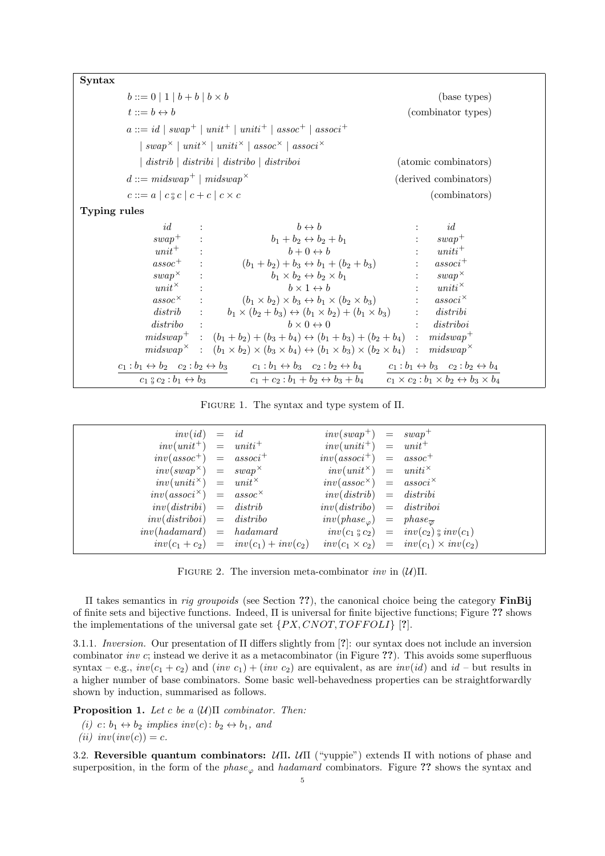| Syntax       |                                                     |                                                                                                                                                                                                                       |                                                  |
|--------------|-----------------------------------------------------|-----------------------------------------------------------------------------------------------------------------------------------------------------------------------------------------------------------------------|--------------------------------------------------|
|              | $b ::= 0   1   b + b   b \times b$                  |                                                                                                                                                                                                                       | (base types)                                     |
|              | $t ::= b \leftrightarrow b$                         |                                                                                                                                                                                                                       | (combinator types)                               |
|              |                                                     | $a ::= id \mid swap^+ \mid unit^+ \mid unit^+ \mid assoc^+ \mid assoc^+$                                                                                                                                              |                                                  |
|              |                                                     | $\vert \, swap^{\times} \, \vert \, unit^{\times} \, \vert \, unit^{\times} \, \vert \, assoc^{\times} \, \vert \, associ^{\times}$                                                                                   |                                                  |
|              |                                                     | $\vert$ distrib $\vert$ distribi $\vert$ distribo $\vert$ distriboi                                                                                                                                                   | (atomic combinators)                             |
|              | $d ::= midswap^+ \mid midswap^{\times})$            |                                                                                                                                                                                                                       | (derived combinators)                            |
|              | $c ::= a \mid c \circ c \mid c + c \mid c \times c$ | (combinators)                                                                                                                                                                                                         |                                                  |
| Typing rules |                                                     |                                                                                                                                                                                                                       |                                                  |
|              | id                                                  | $b \leftrightarrow b$                                                                                                                                                                                                 | id                                               |
|              | $swap^+$ :                                          | $b_1 + b_2 \leftrightarrow b_2 + b_1$                                                                                                                                                                                 | $swap^+$                                         |
|              | $unit^+$ :                                          | $b+0 \leftrightarrow b$                                                                                                                                                                                               | $uniti^+$<br>$\mathbb{R}^{\mathbb{Z}}$           |
|              |                                                     | $assoc^+$ : $(b_1 + b_2) + b_3 \leftrightarrow b_1 + (b_2 + b_3)$                                                                                                                                                     | $associ^+$<br>$\mathbb{Z}^{\mathbb{Z}^n}$ .      |
|              |                                                     | $swap^{\times}$ :<br>$b_1 \times b_2 \leftrightarrow b_2 \times b_1$                                                                                                                                                  | $swap^{\times}$<br>$\mathbb{C}^{\mathbb{Z}^n}$ . |
|              | $\sim 1000$<br>$unit^{\times}$                      | $b \times 1 \leftrightarrow b$                                                                                                                                                                                        | $:$ $uniti^{\times}$                             |
|              | $assoc^{\times}$                                    | $(b_1 \times b_2) \times b_3 \leftrightarrow b_1 \times (b_2 \times b_3)$                                                                                                                                             | $: \quad associ^{\times}$                        |
|              |                                                     | distrib : $b_1 \times (b_2 + b_3) \leftrightarrow (b_1 \times b_2) + (b_1 \times b_3)$ : distribi                                                                                                                     |                                                  |
|              | $distribo$ :                                        | $b \times 0 \leftrightarrow 0$                                                                                                                                                                                        | distriboi                                        |
|              |                                                     | $midswap^+$ : $(b_1 + b_2) + (b_3 + b_4) \leftrightarrow (b_1 + b_3) + (b_2 + b_4)$ : $midswap^+$                                                                                                                     |                                                  |
|              |                                                     | $midswap^{\times} : (b_1 \times b_2) \times (b_3 \times b_4) \leftrightarrow (b_1 \times b_3) \times (b_2 \times b_4) : midswap^{\times}$                                                                             |                                                  |
|              |                                                     | $c_1 : b_1 \leftrightarrow b_2 \quad c_2 : b_2 \leftrightarrow b_3 \qquad c_1 : b_1 \leftrightarrow b_3 \quad c_2 : b_2 \leftrightarrow b_4 \qquad c_1 : b_1 \leftrightarrow b_3 \quad c_2 : b_2 \leftrightarrow b_4$ |                                                  |
|              |                                                     | $c_1 g c_2 : b_1 \leftrightarrow b_3$ $c_1 + c_2 : b_1 + b_2 \leftrightarrow b_3 + b_4$ $c_1 \times c_2 : b_1 \times b_2 \leftrightarrow b_3 \times b_4$                                                              |                                                  |

Figure 1. The syntax and type system of Π.

| $inv(id) = id$                         |                                        | $inv(swap^+)$ = $swap^+$                            |                                                                        |
|----------------------------------------|----------------------------------------|-----------------------------------------------------|------------------------------------------------------------------------|
| $inv(unit^+)$ = $unit^+$               |                                        | $inv(uniti^+)$ = $unit^+$                           |                                                                        |
| $inv(assoc^{+})$ = $assoc^{+}$         |                                        | $inv(associ^+)$ = $assoc+$                          |                                                                        |
| $inv(swap^{\times}) = swap^{\times}$   |                                        | $inv(unit^{\times}) = unit^{\times}$                |                                                                        |
| $inv(uniti^{\times}) = unit^{\times}$  |                                        | $inv(assoc^{\times})$ = $assoc^{\times}$            |                                                                        |
| $inv(assoc^{\times}) = assoc^{\times}$ |                                        | $inv(distrib) = distribi$                           |                                                                        |
| $inv(distribi) = distrib$              |                                        | $inv(distribo) = distribo$                          |                                                                        |
| $inv(distriboi) = distribo$            |                                        | $inv(phase_{\varphi}) = phase_{\overline{\varphi}}$ |                                                                        |
| $inv(hadamard) = hadamard$             |                                        |                                                     | $inv(c_1 \, \frac{6}{9} \, c_2) = inv(c_2) \, \frac{6}{9} \, inv(c_1)$ |
|                                        | $inv(c_1 + c_2) = inv(c_1) + inv(c_2)$ |                                                     | $inv(c_1 \times c_2) = inv(c_1) \times inv(c_2)$                       |

FIGURE 2. The inversion meta-combinator  $inv$  in  $(U)\Pi$ .

Π takes semantics in rig groupoids (see Section ??), the canonical choice being the category FinBij of finite sets and bijective functions. Indeed, Π is universal for finite bijective functions; Figure ?? shows the implementations of the universal gate set  $\{PX, CNOT, TOFFOLI\}$  [?].

3.1.1. Inversion. Our presentation of Π differs slightly from [?]: our syntax does not include an inversion combinator inv c; instead we derive it as a metacombinator (in Figure ??). This avoids some superfluous syntax – e.g.,  $inv(c_1 + c_2)$  and  $(inv c_1) + (inv c_2)$  are equivalent, as are  $inv(id)$  and  $id$  – but results in a higher number of base combinators. Some basic well-behavedness properties can be straightforwardly shown by induction, summarised as follows.

**Proposition 1.** Let c be a  $(\mathcal{U})$ Π combinator. Then:

(i) c:  $b_1 \leftrightarrow b_2$  implies inv(c):  $b_2 \leftrightarrow b_1$ , and (ii)  $inv(inv(c)) = c$ .

3.2. Reversible quantum combinators:  $U\Pi$ .  $U\Pi$  ("yuppie") extends  $\Pi$  with notions of phase and superposition, in the form of the  $phase_{\varphi}$  and hadamard combinators. Figure ?? shows the syntax and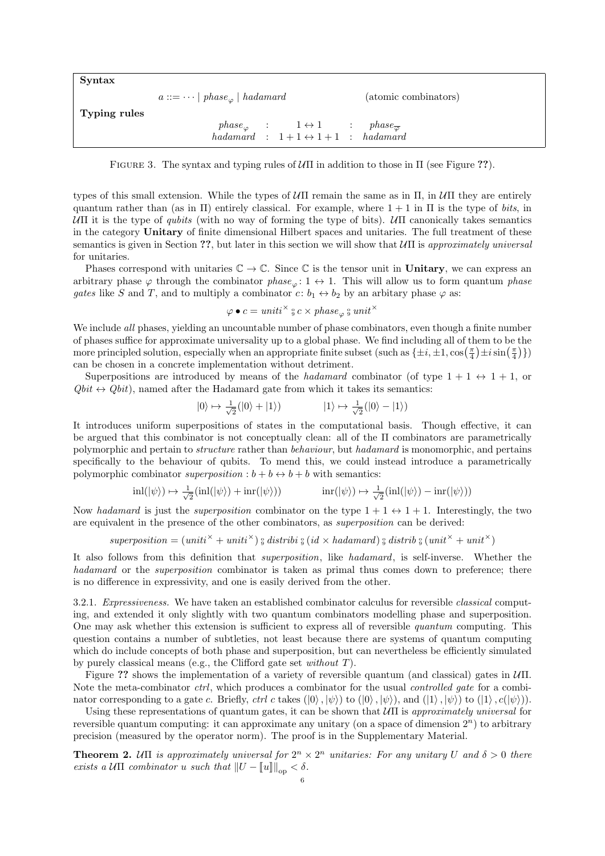| Syntax       |                                                                                     |
|--------------|-------------------------------------------------------------------------------------|
|              | (atomic combinators)<br>$a ::= \dots   \text{ } phase_{\varphi}   \text{ }hadamard$ |
| Typing rules |                                                                                     |
|              | $phase_{\varphi}$ : $1 \leftrightarrow 1$ : $phase_{\overline{\varphi}}$            |
|              | hadamard : $1+1 \leftrightarrow 1+1$ : hadamard                                     |

FIGURE 3. The syntax and typing rules of  $\mathcal{U}\Pi$  in addition to those in  $\Pi$  (see Figure ??).

types of this small extension. While the types of  $\mathcal{U}\Pi$  remain the same as in  $\Pi$ , in  $\mathcal{U}\Pi$  they are entirely quantum rather than (as in  $\Pi$ ) entirely classical. For example, where  $1 + 1$  in  $\Pi$  is the type of bits, in UΠ it is the type of *qubits* (with no way of forming the type of bits). UΠ canonically takes semantics in the category Unitary of finite dimensional Hilbert spaces and unitaries. The full treatment of these semantics is given in Section ??, but later in this section we will show that  $\mathcal{U}\Pi$  is approximately universal for unitaries.

Phases correspond with unitaries  $\mathbb{C} \to \mathbb{C}$ . Since  $\mathbb{C}$  is the tensor unit in Unitary, we can express an arbitrary phase  $\varphi$  through the combinator phase<sub> $\varphi$ </sub>: 1  $\leftrightarrow$  1. This will allow us to form quantum phase gates like S and T, and to multiply a combinator  $c: b_1 \leftrightarrow b_2$  by an arbitary phase  $\varphi$  as:

$$
\varphi \bullet c = \text{uniti}^{\times} \S{c \times \text{phase}}_{\varphi} \S{\text{ unit}}^{\times}
$$

We include all phases, yielding an uncountable number of phase combinators, even though a finite number of phases suffice for approximate universality up to a global phase. We find including all of them to be the more principled solution, especially when an appropriate finite subset (such as  $\{\pm i, \pm 1, \cos\left(\frac{\pi}{4}\right) \pm i \sin\left(\frac{\pi}{4}\right) \}$ ) can be chosen in a concrete implementation without detriment.

Superpositions are introduced by means of the hadamard combinator (of type  $1 + 1 \leftrightarrow 1 + 1$ , or  $Qbit \leftrightarrow Qbit$ , named after the Hadamard gate from which it takes its semantics:

$$
|0\rangle \mapsto \frac{1}{\sqrt{2}}(|0\rangle + |1\rangle) \qquad |1\rangle \mapsto \frac{1}{\sqrt{2}}(|0\rangle - |1\rangle)
$$

It introduces uniform superpositions of states in the computational basis. Though effective, it can be argued that this combinator is not conceptually clean: all of the Π combinators are parametrically polymorphic and pertain to structure rather than behaviour, but hadamard is monomorphic, and pertains specifically to the behaviour of qubits. To mend this, we could instead introduce a parametrically polymorphic combinator superposition :  $b + b \leftrightarrow b + b$  with semantics:

$$
\text{inl}(|\psi\rangle) \mapsto \frac{1}{\sqrt{2}}(\text{inl}(|\psi\rangle) + \text{inr}(|\psi\rangle)) \qquad \text{inr}(|\psi\rangle) \mapsto \frac{1}{\sqrt{2}}(\text{inl}(|\psi\rangle) - \text{inr}(|\psi\rangle))
$$

Now hadamard is just the *superposition* combinator on the type  $1 + 1 \leftrightarrow 1 + 1$ . Interestingly, the two are equivalent in the presence of the other combinators, as superposition can be derived:

superposition = 
$$
(unit^{\times} + unit^{\times})
$$
 § distribi §  $(id \times \text{hadamard})$  §  $distrib$  §  $(unit^{\times} + unit^{\times})$ 

It also follows from this definition that superposition, like hadamard, is self-inverse. Whether the hadamard or the *superposition* combinator is taken as primal thus comes down to preference; there is no difference in expressivity, and one is easily derived from the other.

3.2.1. Expressiveness. We have taken an established combinator calculus for reversible classical computing, and extended it only slightly with two quantum combinators modelling phase and superposition. One may ask whether this extension is sufficient to express all of reversible quantum computing. This question contains a number of subtleties, not least because there are systems of quantum computing which do include concepts of both phase and superposition, but can nevertheless be efficiently simulated by purely classical means (e.g., the Clifford gate set without T).

Figure ?? shows the implementation of a variety of reversible quantum (and classical) gates in  $\mathcal{U}\Pi$ . Note the meta-combinator *ctrl*, which produces a combinator for the usual *controlled gate* for a combinator corresponding to a gate c. Briefly, ctrl c takes  $(|0\rangle, |\psi\rangle)$  to  $(|0\rangle, |\psi\rangle)$ , and  $(|1\rangle, |\psi\rangle)$  to  $(|1\rangle, e(|\psi\rangle)$ .

Using these representations of quantum gates, it can be shown that  $\mathcal{U}\Pi$  is approximately universal for reversible quantum computing: it can approximate any unitary (on a space of dimension  $2^n$ ) to arbitrary precision (measured by the operator norm). The proof is in the Supplementary Material.

**Theorem 2.** UII is approximately universal for  $2^n \times 2^n$  unitaries: For any unitary U and  $\delta > 0$  there exists a  $U\Pi$  combinator u such that  $||U - ||u||_{op} < \delta$ .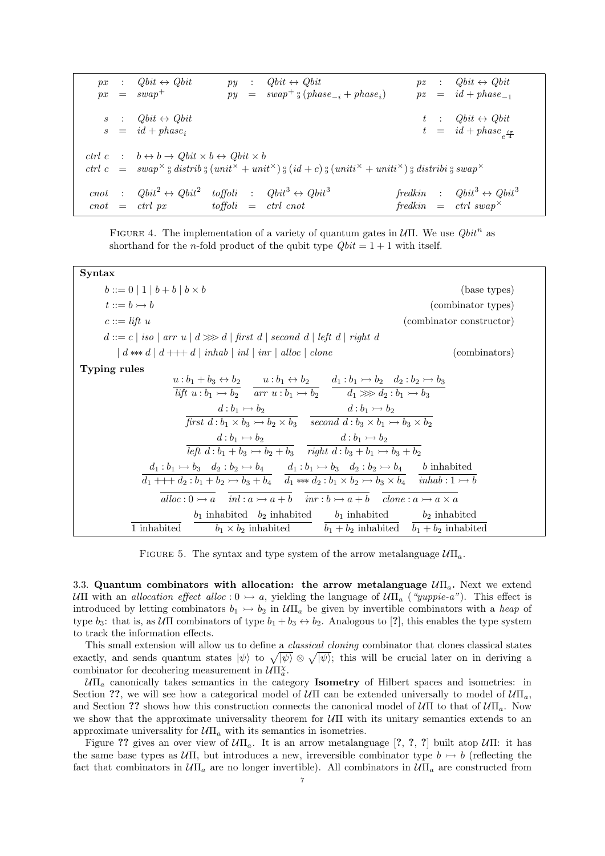$px$  :  $Qbit \leftrightarrow Qbit$  py :  $Qbit \leftrightarrow Qbit$  pz :  $Qbit \leftrightarrow Qbit$  $px = swap<sup>+</sup>$   $py = swap<sup>+</sup>$   $_{9} (phase<sub>-i</sub> + phase<sub>i</sub>)$  $pz = id + phase_{-1}$  $Qbit \leftrightarrow Qbit$  t :  $Qbit \leftrightarrow Qbit$  $id + phase_i$  $t = id + phase_{e^{\frac{i\pi}{4}}}$ ctrl c :  $b \leftrightarrow b \rightarrow Qbit \times b \leftrightarrow Qbit \times b$ ctrl  $c = swap^{\times}$ ; distrib;  $\int_a (unit^{\times} + unit^{\times})$ ;  $(id + c)$ ;  $(unit^{x} + unit^{x})$ ; distribi; swap cnot :  $Qbit^2 \leftrightarrow Obit^2$ toffoli :  $Qbit^3 \leftrightarrow Qbit^3$ fredkin :  $Qbit^3 \leftrightarrow Qbit^3$  $\text{cnot} = \text{ctrl px}$  toffoli = ctrl cnot fredkin = ctrl swap<sup>×</sup>

FIGURE 4. The implementation of a variety of quantum gates in  $U\Pi$ . We use  $Qbit^n$  as shorthand for the *n*-fold product of the qubit type  $Qbit = 1 + 1$  with itself.

| Syntax                                                                                                                                                                                                                                                                     |                          |
|----------------------------------------------------------------------------------------------------------------------------------------------------------------------------------------------------------------------------------------------------------------------------|--------------------------|
| $b ::= 0   1   b + b   b \times b$                                                                                                                                                                                                                                         | (base types)             |
| $t ::= b \rightarrow b$                                                                                                                                                                                                                                                    | (combinator types)       |
| $c ::= lift u$                                                                                                                                                                                                                                                             | (combinator constructor) |
| $d ::= c \mid iso \mid arr \mid d \ggg d \mid first \mid second \mid left \mid right \mid d$                                                                                                                                                                               |                          |
| $\vert d \ast \ast d \vert d + \vert d \vert \ \text{inhab} \vert \ \text{inl} \ \vert \ \text{inr} \vert \ \text{alloc} \vert \ \text{clone} \vert$                                                                                                                       | (combinators)            |
| <b>Typing rules</b><br>$u:b_1 + b_3 \leftrightarrow b_2$ $u:b_1 \leftrightarrow b_2$ $d_1:b_1 \rightarrow b_2$ $d_2:b_2 \rightarrow b_3$<br>$\overline{lift\ u:b_1 \rightarrow b_2}$ $\overline{arr\ u:b_1 \rightarrow b_2}$ $\overline{d_1 \gg d_2:b_1 \rightarrow b_3}$  |                          |
| $d:b_1 \rightarrow b_2$ $d:b_1 \rightarrow b_2$<br>first $d : b_1 \times b_3 \rightarrow b_2 \times b_3$ second $d : b_3 \times b_1 \rightarrow b_3 \times b_2$                                                                                                            |                          |
| $d:b_1 \rightarrow b_2$ $d:b_1 \rightarrow b_2$<br>left $d:b_1 + b_3 \rightarrow b_2 + b_3$ right $d:b_3 + b_1 \rightarrow b_3 + b_2$                                                                                                                                      |                          |
| $d_1 : b_1 \rightarrow b_3$ $d_2 : b_2 \rightarrow b_4$ $d_1 : b_1 \rightarrow b_3$ $d_2 : b_2 \rightarrow b_4$ b inhabited<br>$d_1 + + + d_2 : b_1 + b_2 \rightarrow b_3 + b_4$ $d_1 \ast \ast d_2 : b_1 \times b_2 \rightarrow b_3 \times b_4$ inhab : $1 \rightarrow b$ |                          |
| alloc: $0 \rightarrow a$ inl: $a \rightarrow a + b$ inr: $b \rightarrow a + b$ clone: $a \rightarrow a \times a$                                                                                                                                                           |                          |
| $b_1$ inhabited $b_2$ inhabited $b_1$ inhabited $b_2$ inhabited<br>1 inhabited<br>$b_1 \times b_2$ inhabited $b_1 + b_2$ inhabited $b_1 + b_2$ inhabited                                                                                                                   |                          |

FIGURE 5. The syntax and type system of the arrow metalanguage  $U\Pi_a$ .

3.3. Quantum combinators with allocation: the arrow metalanguage  $\mathcal{U}\Pi_{a}$ . Next we extend UΠ with an allocation effect alloc :  $0 \rightarrow a$ , yielding the language of  $U\Pi_a$  ("*yuppie-a*"). This effect is introduced by letting combinators  $b_1 \rightarrow b_2$  in  $U\Pi_a$  be given by invertible combinators with a heap of type  $b_3$ : that is, as  $U\Pi$  combinators of type  $b_1 + b_3 \leftrightarrow b_2$ . Analogous to [?], this enables the type system to track the information effects.

This small extension will allow us to define a classical cloning combinator that clones classical states exactly, and sends quantum states  $|\psi\rangle$  to  $\sqrt{|\psi\rangle} \otimes \sqrt{|\psi\rangle}$ ; this will be crucial later on in deriving a combinator for decohering measurement in  $\mathcal{U}\Pi^{\chi}_{a}$ .

 $U\Pi_a$  canonically takes semantics in the category **Isometry** of Hilbert spaces and isometries: in Section ??, we will see how a categorical model of  $U\Pi$  can be extended universally to model of  $U\Pi_a$ , and Section ?? shows how this construction connects the canonical model of  $\mathcal{U}\Pi$  to that of  $\mathcal{U}\Pi_a$ . Now we show that the approximate universality theorem for  $U\Pi$  with its unitary semantics extends to an approximate universality for  $U\Pi_a$  with its semantics in isometries.

Figure ?? gives an over view of  $U\Pi_a$ . It is an arrow metalanguage [?, ?, ?] built atop  $U\Pi$ : it has the same base types as  $U\Pi$ , but introduces a new, irreversible combinator type  $b \rightarrow b$  (reflecting the fact that combinators in  $U\Pi_a$  are no longer invertible). All combinators in  $U\Pi_a$  are constructed from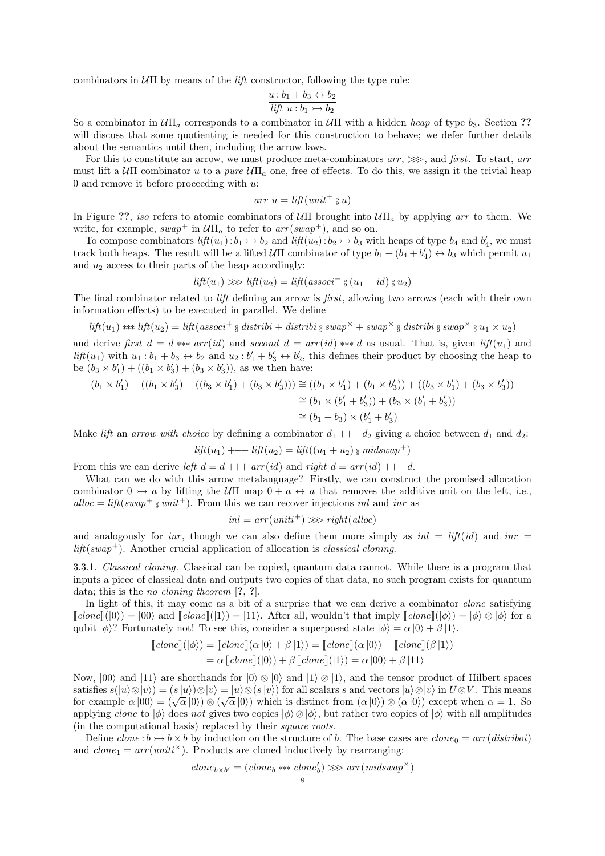combinators in  $U\Pi$  by means of the *lift* constructor, following the type rule:

$$
\frac{u:b_1+b_3 \leftrightarrow b_2}{lift\ u:b_1 \rightarrow b_2}
$$

So a combinator in  $U\Pi_a$  corresponds to a combinator in  $U\Pi$  with a hidden heap of type  $b_3$ . Section ?? will discuss that some quotienting is needed for this construction to behave; we defer further details about the semantics until then, including the arrow laws.

For this to constitute an arrow, we must produce meta-combinators  $arr$ ,  $\gg$ , and first. To start, arr must lift a  $\mathcal{U}\Pi$  combinator u to a pure  $\mathcal{U}\Pi_a$  one, free of effects. To do this, we assign it the trivial heap 0 and remove it before proceeding with  $u$ :

$$
arr u = lift(unit^{+} \circ u)
$$

In Figure ??, iso refers to atomic combinators of  $U\Pi$  brought into  $U\Pi_a$  by applying arr to them. We write, for example,  $swap^+$  in  $\mathcal{U}\Pi_a$  to refer to  $arr(swap^+)$ , and so on.

To compose combinators  $lift(u_1): b_1 \rightarrow b_2$  and  $lift(u_2): b_2 \rightarrow b_3$  with heaps of type  $b_4$  and  $b'_4$ , we must track both heaps. The result will be a lifted  $U\Pi$  combinator of type  $b_1 + (b_4 + b'_4) \leftrightarrow b_3$  which permit  $u_1$ and  $u_2$  access to their parts of the heap accordingly:

$$
lift(u_1) \gg\text{left}(u_2) = lift (assoc^{+} \, \frac{6}{9} \, (u_1 + id) \, \frac{6}{9} \, u_2)
$$

The final combinator related to lift defining an arrow is first, allowing two arrows (each with their own information effects) to be executed in parallel. We define

$$
lift(u_1) \ast\!\!\ast\!\!\ast \text{ lift}(u_2) = lift(associ^+ \mathcal{G} \text{ distribi} + distribi \mathcal{G} \text{ swap}^{\times} + swap^{\times} \mathcal{G} \text{ distribi} \mathcal{G} \text{ swap}^{\times} \mathcal{G} \text{ u}_1 \times u_2)
$$

and derive first  $d = d$  \*\*\*  $arr(id)$  and second  $d = arr(id)$  \*\*\* d as usual. That is, given  $lift(u_1)$  and  $lift(u_1)$  with  $u_1 : b_1 + b_3 \leftrightarrow b_2$  and  $u_2 : b'_1 + b'_3 \leftrightarrow b'_2$ , this defines their product by choosing the heap to be  $(b_3 \times b'_1) + ((b_1 \times b'_3) + (b_3 \times b'_3))$ , as we then have:

$$
(b_1 \times b'_1) + ((b_1 \times b'_3) + ((b_3 \times b'_1) + (b_3 \times b'_3))) \cong ((b_1 \times b'_1) + (b_1 \times b'_3)) + ((b_3 \times b'_1) + (b_3 \times b'_3))
$$
  

$$
\cong (b_1 \times (b'_1 + b'_3)) + (b_3 \times (b'_1 + b'_3))
$$
  

$$
\cong (b_1 + b_3) \times (b'_1 + b'_3)
$$

Make lift an arrow with choice by defining a combinator  $d_1 + d_2$  giving a choice between  $d_1$  and  $d_2$ :

$$
lift(u_1) + \cdots + lift(u_2) = lift((u_1 + u_2) \circ midswap^+)
$$

From this we can derive left  $d = d + \cdots + arr(id)$  and right  $d = arr(id) + \cdots + d$ .

What can we do with this arrow metalanguage? Firstly, we can construct the promised allocation combinator  $0 \rightarrow a$  by lifting the UII map  $0 + a \leftrightarrow a$  that removes the additive unit on the left, i.e., alloc =  $lift(swap^+ \, \text{g} \, unit^+)$ . From this we can recover injections inl and inr as

$$
inl = arr(uniti^{+}) \gg\text{right}(alloc)
$$

and analogously for inr, though we can also define them more simply as  $inl = lift(id)$  and  $inr =$  $lift(swap^+)$ . Another crucial application of allocation is *classical cloning*.

3.3.1. Classical cloning. Classical can be copied, quantum data cannot. While there is a program that inputs a piece of classical data and outputs two copies of that data, no such program exists for quantum data; this is the *no cloning theorem* [?, ?].

In light of this, it may come as a bit of a surprise that we can derive a combinator *clone* satisfying  $\llbracket \text{clone} \rrbracket(|0\rangle) = |00\rangle$  and  $\llbracket \text{clone} \rrbracket(|1\rangle) = |11\rangle$ . After all, wouldn't that imply  $\llbracket \text{clone} \rrbracket(|\phi\rangle) = |\phi\rangle \otimes |\phi\rangle$  for a qubit  $|\phi\rangle$ ? Fortunately not! To see this, consider a superposed state  $|\phi\rangle = \alpha |0\rangle + \beta |1\rangle$ .

$$
[clone] (\vert \phi \rangle) = [clone] (\alpha \vert 0 \rangle + \beta \vert 1 \rangle) = [clone] (\alpha \vert 0 \rangle) + [clone] (\beta \vert 1 \rangle)
$$
  
=  $\alpha [clone] (\vert 0 \rangle) + \beta [clone] (\vert 1 \rangle) = \alpha \vert 00 \rangle + \beta \vert 11 \rangle$ 

Now,  $|00\rangle$  and  $|11\rangle$  are shorthands for  $|0\rangle \otimes |0\rangle$  and  $|1\rangle \otimes |1\rangle$ , and the tensor product of Hilbert spaces satisfies  $s(|u\rangle \otimes |v\rangle) = (s |u\rangle) \otimes |v\rangle = |u\rangle \otimes (s |v\rangle)$  for all scalars s and vectors  $|u\rangle \otimes |v\rangle$  in  $U \otimes V$ . This means satisfies  $s(\vert u/\vert\langle v\rangle\vert v)= (s\vert u/\vert\langle v\rangle\vert v)=(u/\vert\langle v\rangle\vert v)$  for an scalars s and vectors  $\vert u/\vert\langle v\rangle\vert v\rangle$  in  $v\otimes v$ . This means<br>for example  $\alpha\vert 00\rangle = (\sqrt{\alpha}\vert 0\rangle) \otimes (\sqrt{\alpha}\vert 0\rangle)$  which is distinct from  $(\alpha\vert 0\rangle) \otimes (\alpha\vert 0\rangle)$ applying clone to  $|\phi\rangle$  does not gives two copies  $|\phi\rangle \otimes |\phi\rangle$ , but rather two copies of  $|\phi\rangle$  with all amplitudes (in the computational basis) replaced by their square roots.

Define  $clone : b \rightarrow b \times b$  by induction on the structure of b. The base cases are  $clone_0 = arr (distriboi)$ and  $clone_1 = arr(uniti^{\times})$ . Products are cloned inductively by rearranging:

$$
clone_{b \times b'} = (clone_b \ast \ast \text{clone}_b') \ggarr(midswap^{\times})
$$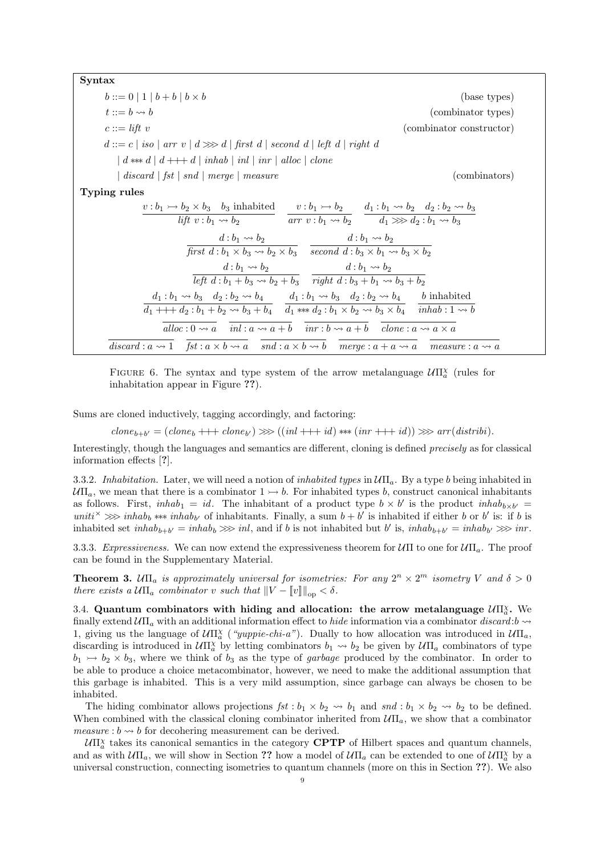Syntax  $b ::= 0 | 1 | b + b | b \times b$  (base types)  $t ::= b \leadsto b$  (combinator types)  $c ::= \textit{lift } v$  (combinator constructor)  $d ::= c | iso | arr v | d \ggg d | first d | second d | left d | right d$  $\mid d \leftrightarrow d \mid d + d \mid inhab \mid inl \mid inr \mid alloc \mid clone$ | discard | fst | snd | merge | measure (combinators) (combinators) Typing rules  $v : b_1 \rightarrow b_2 \times b_3$  b<sub>3</sub> inhabited *lift*  $v : b_1 \leadsto b_2$  $v : b_1 \rightarrow b_2$  $\overline{arr\ v : b_1 \leadsto b_2}$  $d_1 : b_1 \leadsto b_2 \quad d_2 : b_2 \leadsto b_3$  $d_1 \gg d_2 : b_1 \leadsto b_3$  $d : b_1 \leadsto b_2$ first  $d : b_1 \times b_3 \rightsquigarrow b_2 \times b_3$  $d : b_1 \leadsto b_2$ second  $d : b_3 \times b_1 \rightsquigarrow b_3 \times b_2$  $d : b_1 \leadsto b_2$ left  $d : b_1 + b_3 \rightarrow b_2 + b_3$  $d : b_1 \leadsto b_2$ right  $d : b_3 + b_1 \leadsto b_3 + b_2$  $d_1 : b_1 \leadsto b_3 \quad d_2 : b_2 \leadsto b_4$  $\overline{d_1 + + + d_2 : b_1 + b_2 \rightsquigarrow b_3 + b_4}$  $d_1 : b_1 \leadsto b_3 \quad d_2 : b_2 \leadsto b_4$  $\overline{d_1 \ast \ast d_2 : b_1 \times b_2 \rightsquigarrow b_3 \times b_4}$ b inhabited  $\overline{inhab:1 \rightsquigarrow b}$  $\overline{alloc: 0 \rightsquigarrow a}$   $\overline{inl: a \rightsquigarrow a+b}$   $\overline{inr: b \rightsquigarrow a+b}$   $\overline{clone: a \rightsquigarrow a \times a}$  $\overline{discard : a \leadsto 1}$   $\overline{fst : a \times b \leadsto a}$   $\overline{snd : a \times b \leadsto b}$   $\overline{merge : a + a \leadsto a}$   $\overline{measure : a \leadsto a}$ 



Sums are cloned inductively, tagging accordingly, and factoring:

 $clone_{b+b'} = (clone_b + \cdots + clone_{b'}) \ggg ((inl+++id) \ggg (inr+++id)) \ggg arr(distribi).$ 

Interestingly, though the languages and semantics are different, cloning is defined precisely as for classical information effects [?].

3.3.2. Inhabitation. Later, we will need a notion of *inhabited types* in  $U\Pi_a$ . By a type b being inhabited in  $U\Pi_a$ , we mean that there is a combinator  $1 \rightarrow b$ . For inhabited types b, construct canonical inhabitants as follows. First,  $inhab_1 = id$ . The inhabitant of a product type  $b \times b'$  is the product  $inhab_{b \times b'}$ uniti<sup> $\times$ </sup>  $\gg$  inhab<sub>b</sub> \*\*\* inhab<sub>b'</sub> of inhabitants. Finally, a sum  $b + b'$  is inhabited if either b or b' is: if b is inhabited set  $inhab_{b+b'} = inhab_b \gg \infty$  inl, and if b is not inhabited but b' is,  $inhab_{b+b'} = inhab_{b'} \gg \infty$  inr.

3.3.3. Expressiveness. We can now extend the expressiveness theorem for  $U\Pi$  to one for  $U\Pi_a$ . The proof can be found in the Supplementary Material.

**Theorem 3.**  $U\Pi_a$  is approximately universal for isometries: For any  $2^n \times 2^m$  isometry V and  $\delta > 0$ there exists a  $U\Pi_a$  combinator v such that  $||V - ||v||_{\text{op}} < \delta$ .

3.4. Quantum combinators with hiding and allocation: the arrow metalanguage  $U\Pi_a^{\chi}$ . We finally extend  $U\Pi_a$  with an additional information effect to hide information via a combinator discard:b  $\rightsquigarrow$ 1, giving us the language of  $U\Pi^{\chi}_{a}$  ("*yuppie-chi-a*"). Dually to how allocation was introduced in  $U\Pi_{a}$ , discarding is introduced in  $U\Pi_a^{\chi}$  by letting combinators  $b_1 \leadsto b_2$  be given by  $U\Pi_a$  combinators of type  $b_1 \rightarrow b_2 \times b_3$ , where we think of  $b_3$  as the type of *garbage* produced by the combinator. In order to be able to produce a choice metacombinator, however, we need to make the additional assumption that this garbage is inhabited. This is a very mild assumption, since garbage can always be chosen to be inhabited.

The hiding combinator allows projections  $fst : b_1 \times b_2 \rightarrow b_1$  and  $snd : b_1 \times b_2 \rightarrow b_2$  to be defined. When combined with the classical cloning combinator inherited from  $U\Pi_a$ , we show that a combinator measure :  $b \rightarrow b$  for decohering measurement can be derived.

 $U\Pi_a^{\chi}$  takes its canonical semantics in the category **CPTP** of Hilbert spaces and quantum channels, and as with  $\mathcal{U}\Pi_a$ , we will show in Section ?? how a model of  $\mathcal{U}\Pi_a$  can be extended to one of  $\mathcal{U}\Pi_a^{\chi}$  by a universal construction, connecting isometries to quantum channels (more on this in Section ??). We also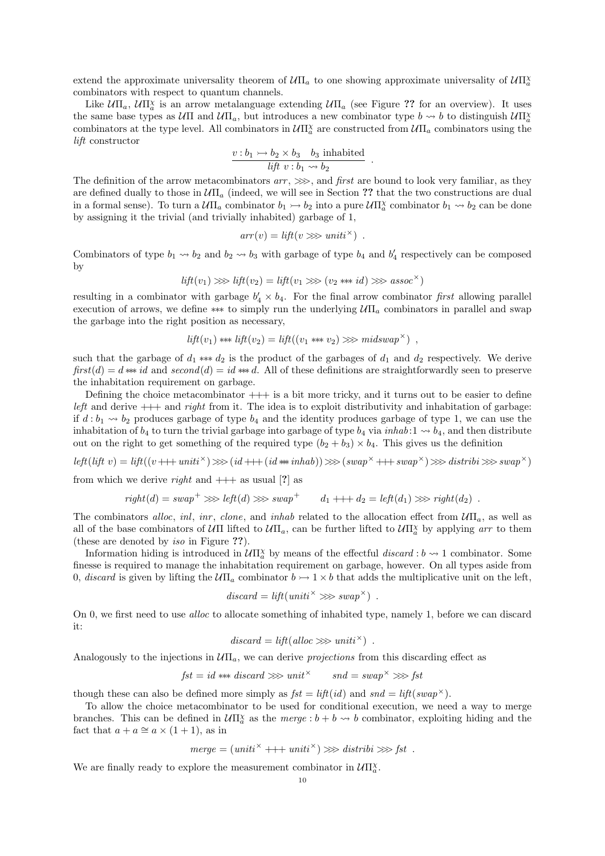extend the approximate universality theorem of  $U\Pi_a$  to one showing approximate universality of  $U\Pi_a^{\chi}$ combinators with respect to quantum channels.

Like  $\mathcal{U}\Pi_a$ ,  $\mathcal{U}\Pi^{\chi}_a$  is an arrow metalanguage extending  $\mathcal{U}\Pi_a$  (see Figure ?? for an overview). It uses the same base types as  $U\Pi$  and  $U\Pi_a$ , but introduces a new combinator type  $b \leadsto b$  to distinguish  $U\Pi_a^x$ combinators at the type level. All combinators in  $U\Pi_a^{\chi}$  are constructed from  $U\Pi_a$  combinators using the lift constructor

$$
\frac{v:b_1\rightarrowtail b_2\times b_3 \quad b_3 \text{ inhabited}}{\textit{lift}\ v:b_1\leadsto b_2}
$$

.

The definition of the arrow metacombinators  $arr$ ,  $\gg$ , and first are bound to look very familiar, as they are defined dually to those in  $U\Pi_a$  (indeed, we will see in Section ?? that the two constructions are dual in a formal sense). To turn a  $U\Pi_a$  combinator  $b_1 \rightarrow b_2$  into a pure  $U\Pi_a^{\chi}$  combinator  $b_1 \rightarrow b_2$  can be done by assigning it the trivial (and trivially inhabited) garbage of 1,

$$
arr(v) = lift(v \ggg uniti^{\times}).
$$

Combinators of type  $b_1 \leadsto b_2$  and  $b_2 \leadsto b_3$  with garbage of type  $b_4$  and  $b'_4$  respectively can be composed by

$$
lift(v_1) \gg\text{left}(v_2) = lift(v_1 \gg\text{right}(v_2 \text{*** } id) \gg\text{assoc}^{\times})
$$

resulting in a combinator with garbage  $b'_4 \times b_4$ . For the final arrow combinator first allowing parallel execution of arrows, we define \*\*\* to simply run the underlying  $U\Pi_a$  combinators in parallel and swap the garbage into the right position as necessary,

$$
lift(v_1) \ast\ast lift(v_2) = lift((v_1 \ast\ast v_2) \gg\ast midswap^{\times}) ,
$$

such that the garbage of  $d_1$  ∗\*\*  $d_2$  is the product of the garbages of  $d_1$  and  $d_2$  respectively. We derive  $first(d) = d \Leftrightarrow id$  and  $second(d) = id \Leftrightarrow d$ . All of these definitions are straightforwardly seen to preserve the inhabitation requirement on garbage.

Defining the choice metacombinator  $++$  is a bit more tricky, and it turns out to be easier to define left and derive  $++$  and right from it. The idea is to exploit distributivity and inhabitation of garbage: if  $d : b_1 \rightarrow b_2$  produces garbage of type  $b_4$  and the identity produces garbage of type 1, we can use the inhabitation of  $b_4$  to turn the trivial garbage into garbage of type  $b_4$  via *inhab*:  $1 \rightsquigarrow b_4$ , and then distribute out on the right to get something of the required type  $(b_2 + b_3) \times b_4$ . This gives us the definition

left(lift v) = lift((v+++uniti<sup>×</sup>) >> (id+++(id \*\* inhab)) >> (swap<sup>×</sup>+++swap<sup>×</sup>) >> distribi >> swap<sup>×</sup>)

from which we derive *right* and  $++$  as usual [?] as

$$
right(d) = swap^{+} \ggleft left(d) \ggleft sum^{+} \qquad d_1 + \cdots + d_2 = left(d_1) \ggleft right(d_2) \right.
$$

The combinators alloc, inl, inr, clone, and inhab related to the allocation effect from  $U\Pi_a$ , as well as all of the base combinators of  $\mathcal{U}\Pi$  lifted to  $\mathcal{U}\Pi_a$ , can be further lifted to  $\mathcal{U}\Pi_a^{\chi}$  by applying arr to them (these are denoted by iso in Figure ??).

Information hiding is introduced in  $\mathcal{U} \Pi_a^{\chi}$  by means of the effectful discard :  $b \leadsto 1$  combinator. Some finesse is required to manage the inhabitation requirement on garbage, however. On all types aside from 0, discard is given by lifting the  $U\Pi_a$  combinator  $b \rightarrow 1 \times b$  that adds the multiplicative unit on the left,

$$
discount = lift(uniti^{\times} \ggg swap^{\times}).
$$

On 0, we first need to use *alloc* to allocate something of inhabited type, namely 1, before we can discard it:

$$
discount = lift(alloc \ggg uniti^{\times}) .
$$

Analogously to the injections in  $U\Pi_a$ , we can derive projections from this discarding effect as

$$
\mathit{fst} = \mathit{id} \ast\!\!\ast\!\!\ast \mathit{discard} \mathrel{>\!\!>\!\!>} \mathit{unit}^\times \qquad \mathit{snd} = \mathit{swap}^\times \mathrel{>\!\!>\!\!>} \mathit{fst}
$$

though these can also be defined more simply as  $fst = lift(id)$  and  $snd = lift(swap^{\times})$ .

To allow the choice metacombinator to be used for conditional execution, we need a way to merge branches. This can be defined in  $U\Pi_a^{\chi}$  as the merge  $:b + b \leadsto b$  combinator, exploiting hiding and the fact that  $a + a \approx a \times (1 + 1)$ , as in

$$
merge = (uniti^{\times} +++ uniti^{\times}) \gg\text{distribi} \gg\text{fst}.
$$

We are finally ready to explore the measurement combinator in  $\mathcal{U} \Pi^{\chi}_{a}$ .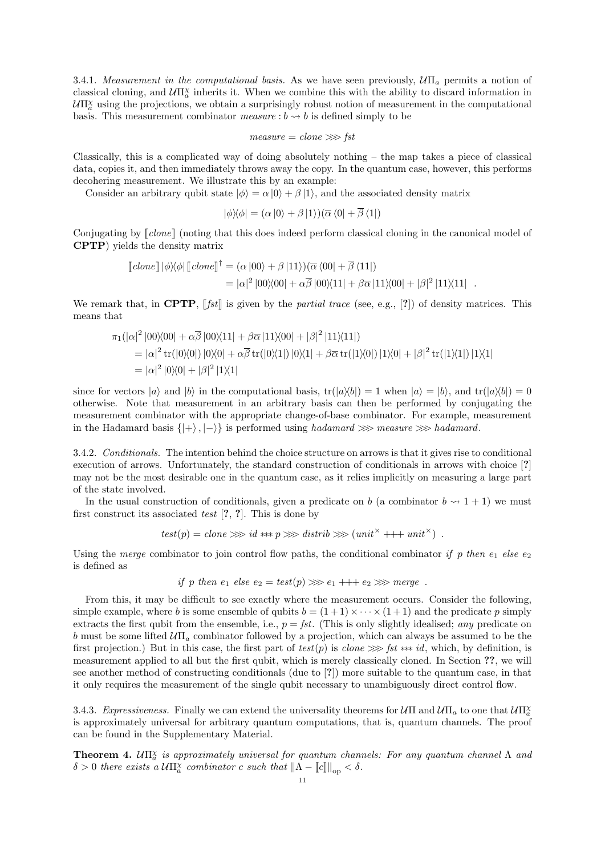3.4.1. Measurement in the computational basis. As we have seen previously,  $U\Pi_a$  permits a notion of classical cloning, and  $U\Pi^{\chi}_a$  inherits it. When we combine this with the ability to discard information in  $U\Pi_a^{\chi}$  using the projections, we obtain a surprisingly robust notion of measurement in the computational basis. This measurement combinator measure  $: b \rightarrow b$  is defined simply to be

$$
measure = clone \ggg
$$

Classically, this is a complicated way of doing absolutely nothing – the map takes a piece of classical data, copies it, and then immediately throws away the copy. In the quantum case, however, this performs decohering measurement. We illustrate this by an example:

Consider an arbitrary qubit state  $|\phi\rangle = \alpha |0\rangle + \beta |1\rangle$ , and the associated density matrix

$$
|\phi\rangle\langle\phi| = (\alpha|0\rangle + \beta|1\rangle)(\overline{\alpha}\langle 0| + \overline{\beta}\langle 1|)
$$

Conjugating by  $\llbracket clone \rrbracket$  (noting that this does indeed perform classical cloning in the canonical model of CPTP) yields the density matrix

$$
[\![clone]\!] \, |\phi\rangle\langle\phi| \, [\![clone]\!]^\dagger = (\alpha \, |00\rangle + \beta \, |11\rangle) (\overline{\alpha} \, \langle 00| + \overline{\beta} \, \langle 11|)
$$
\n
$$
= |\alpha|^2 \, |00\rangle\langle00| + \alpha \overline{\beta} \, |00\rangle\langle11| + \beta \overline{\alpha} \, |11\rangle\langle00| + |\beta|^2 \, |11\rangle\langle11|.
$$

We remark that, in CPTP,  $[[fst]]$  is given by the *partial trace* (see, e.g., [?]) of density matrices. This means that

$$
\pi_1(|\alpha|^2 |00\rangle\langle00| + \alpha \overline{\beta} |00\rangle\langle11| + \beta \overline{\alpha} |11\rangle\langle00| + |\beta|^2 |11\rangle\langle11|)
$$
  
=  $|\alpha|^2 \operatorname{tr}(|0\rangle\langle0|) |0\rangle\langle0| + \alpha \overline{\beta} \operatorname{tr}(|0\rangle\langle1|) |0\rangle\langle1| + \beta \overline{\alpha} \operatorname{tr}(|1\rangle\langle0|) |1\rangle\langle0| + |\beta|^2 \operatorname{tr}(|1\rangle\langle1|) |1\rangle\langle1|)$   
=  $|\alpha|^2 |0\rangle\langle0| + |\beta|^2 |1\rangle\langle1|$ 

since for vectors  $|a\rangle$  and  $|b\rangle$  in the computational basis,  $tr(|a\rangle\langle b|) = 1$  when  $|a\rangle = |b\rangle$ , and  $tr(|a\rangle\langle b|) = 0$ otherwise. Note that measurement in an arbitrary basis can then be performed by conjugating the measurement combinator with the appropriate change-of-base combinator. For example, measurement in the Hadamard basis  $\{|+\rangle, |-\rangle\}$  is performed using hadamard  $\gg$  measure  $\gg$  hadamard.

3.4.2. Conditionals. The intention behind the choice structure on arrows is that it gives rise to conditional execution of arrows. Unfortunately, the standard construction of conditionals in arrows with choice [?] may not be the most desirable one in the quantum case, as it relies implicitly on measuring a large part of the state involved.

In the usual construction of conditionals, given a predicate on b (a combinator  $b \sim 1 + 1$ ) we must first construct its associated test [?, ?]. This is done by

$$
test(p) = clone \ggg id \text{ *** } p \ggg \text{distrib} \ggg (unit^{\times} ++ unit^{\times}).
$$

Using the merge combinator to join control flow paths, the conditional combinator if p then  $e_1$  else  $e_2$ is defined as

if p then 
$$
e_1
$$
 else  $e_2 = test(p) \gg 0$   $e_1 + + + e_2 \gg 0$  merge.

From this, it may be difficult to see exactly where the measurement occurs. Consider the following, simple example, where b is some ensemble of qubits  $b = (1+1) \times \cdots \times (1+1)$  and the predicate p simply extracts the first qubit from the ensemble, i.e.,  $p = \text{fst}$ . (This is only slightly idealised; any predicate on b must be some lifted  $\mathcal{U}\Pi_a$  combinator followed by a projection, which can always be assumed to be the first projection.) But in this case, the first part of  $test(p)$  is clone  $\gg$  fst ∗∗∗ id, which, by definition, is measurement applied to all but the first qubit, which is merely classically cloned. In Section ??, we will see another method of constructing conditionals (due to [?]) more suitable to the quantum case, in that it only requires the measurement of the single qubit necessary to unambiguously direct control flow.

3.4.3. Expressiveness. Finally we can extend the universality theorems for  $\mathcal{U}\Pi$  and  $\mathcal{U}\Pi_a$  to one that  $\mathcal{U}\Pi_a^{\chi}$ is approximately universal for arbitrary quantum computations, that is, quantum channels. The proof can be found in the Supplementary Material.

**Theorem 4.**  $U\Pi_a^{\chi}$  is approximately universal for quantum channels: For any quantum channel  $\Lambda$  and  $\delta > 0$  there exists a  $U\Pi^{\chi}_{a}$  combinator c such that  $\|\Lambda - \llbracket c \rrbracket \|_{op} < \delta$ .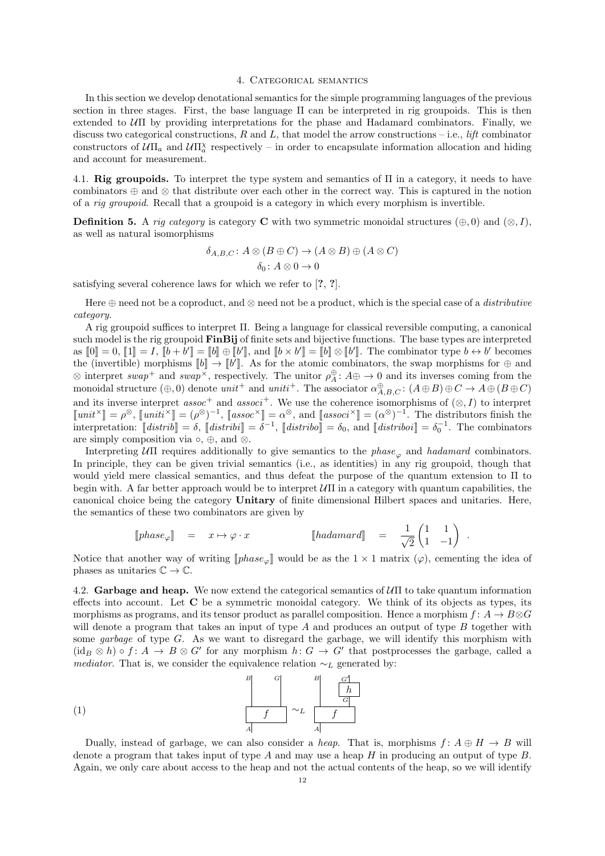### 4. Categorical semantics

In this section we develop denotational semantics for the simple programming languages of the previous section in three stages. First, the base language Π can be interpreted in rig groupoids. This is then extended to  $U\Pi$  by providing interpretations for the phase and Hadamard combinators. Finally, we discuss two categorical constructions, R and L, that model the arrow constructions – i.e., *lift* combinator constructors of  $U\Pi_a$  and  $U\Pi_a^{\chi}$  respectively – in order to encapsulate information allocation and hiding and account for measurement.

4.1. Rig groupoids. To interpret the type system and semantics of  $\Pi$  in a category, it needs to have combinators ⊕ and ⊗ that distribute over each other in the correct way. This is captured in the notion of a rig groupoid. Recall that a groupoid is a category in which every morphism is invertible.

**Definition 5.** A rig category is category C with two symmetric monoidal structures  $(\oplus, 0)$  and  $(\otimes, I)$ , as well as natural isomorphisms

$$
\delta_{A,B,C} \colon A \otimes (B \oplus C) \to (A \otimes B) \oplus (A \otimes C)
$$

$$
\delta_0 \colon A \otimes 0 \to 0
$$

satisfying several coherence laws for which we refer to [?, ?].

Here  $\oplus$  need not be a coproduct, and  $\otimes$  need not be a product, which is the special case of a *distributive* category.

A rig groupoid suffices to interpret Π. Being a language for classical reversible computing, a canonical such model is the rig groupoid **FinBij** of finite sets and bijective functions. The base types are interpreted as  $[0] = 0$ ,  $[1] = I$ ,  $[1 b + b'] = [1 b] \oplus [1 b']$ , and  $[1 b \times b'] = [1 b] \otimes [1 b']$ . The combinator type  $b \leftrightarrow b'$  becomes the (invertible) morphisms  $[[b]] \to [[b']]$ . As for the atomic combinators, the swap morphisms for  $\oplus$  and<br> $\otimes$  interpret event and even<sup> $\times$ </sup> respectively. The uniter  $\oplus$ ,  $A \oplus \oplus$  of and its inverses coming from the  $\otimes$  interpret swap<sup>+</sup> and swap<sup> $\times$ </sup>, respectively. The unitor  $\rho_A^{\oplus}$ :  $A \oplus \to 0$  and its inverses coming from the monoidal structure  $(\oplus,0)$  denote  $unit^+$  and  $unit^+$ . The associator  $\alpha_{A,B,C}^{\oplus}$ :  $(A \oplus B) \oplus C \to A \oplus (B \oplus C)$ and its inverse interpret assoc<sup>+</sup> and associ<sup>+</sup>. We use the coherence isomorphisms of  $(\otimes, I)$  to interpret  $\llbracket unit^{\times} \rrbracket = \rho^{\otimes}, \llbracket unit^{\times} \rrbracket = (\rho^{\otimes})^{-1}, \llbracket asset^{\otimes} \rrbracket = \alpha^{\otimes}, \text{ and } \llbracket asset^{\times} \rrbracket = (\alpha^{\otimes})^{-1}.$  The distributors finish the interpretation:  $\llbracket dist_{\rho}^{\otimes} \rrbracket = \delta, \llbracket dist_{\rho}^{\otimes} \rrbracket = \alpha^{\otimes}$ interpretation:  $\llbracket distrib \rrbracket = \delta$ ,  $\llbracket distrib \rrbracket = \delta^{-1}$ ,  $\llbracket distrib \rrbracket = \delta_0$ , and  $\llbracket distribi \rrbracket = \delta_0^{-1}$ . The combinators are simply composition via  $\circ$ ,  $\oplus$ , and  $\otimes$ .

Interpreting  $U\Pi$  requires additionally to give semantics to the phase<sub> $\varphi$ </sub> and hadamard combinators. In principle, they can be given trivial semantics (i.e., as identities) in any rig groupoid, though that would yield mere classical semantics, and thus defeat the purpose of the quantum extension to Π to begin with. A far better approach would be to interpret  $\mathcal{U}\Pi$  in a category with quantum capabilities, the canonical choice being the category Unitary of finite dimensional Hilbert spaces and unitaries. Here, the semantics of these two combinators are given by

$$
[\![phase_{\varphi}]\!] \quad = \quad x \mapsto \varphi \cdot x \qquad [\![hadamard]\!] \quad = \quad \frac{1}{\sqrt{2}} \begin{pmatrix} 1 & 1 \\ 1 & -1 \end{pmatrix}
$$

.

Notice that another way of writing  $\llbracket phase_{\varphi} \rrbracket$  would be as the  $1 \times 1$  matrix  $(\varphi)$ , cementing the idea of phases as unitaries  $\mathbb{C} \to \mathbb{C}$ .

4.2. Garbage and heap. We now extend the categorical semantics of  $U\Pi$  to take quantum information effects into account. Let C be a symmetric monoidal category. We think of its objects as types, its morphisms as programs, and its tensor product as parallel composition. Hence a morphism  $f: A \to B \otimes G$ will denote a program that takes an input of type  $A$  and produces an output of type  $B$  together with some garbage of type G. As we want to disregard the garbage, we will identify this morphism with  $(id_B \otimes h) \circ f : A \to B \otimes G'$  for any morphism  $h : G \to G'$  that postprocesses the garbage, called a *mediator*. That is, we consider the equivalence relation  $\sim_L$  generated by:

$$
\begin{array}{c|c}\nB & G \\
\hline\nf & \sim_L \quad\n\end{array}\n\begin{array}{c|c}\nB & G^{\dagger} \\
\hline\nh \\
G \\
\hline\nA\n\end{array}
$$

Dually, instead of garbage, we can also consider a heap. That is, morphisms  $f: A \oplus H \to B$  will denote a program that takes input of type  $A$  and may use a heap  $H$  in producing an output of type  $B$ . Again, we only care about access to the heap and not the actual contents of the heap, so we will identify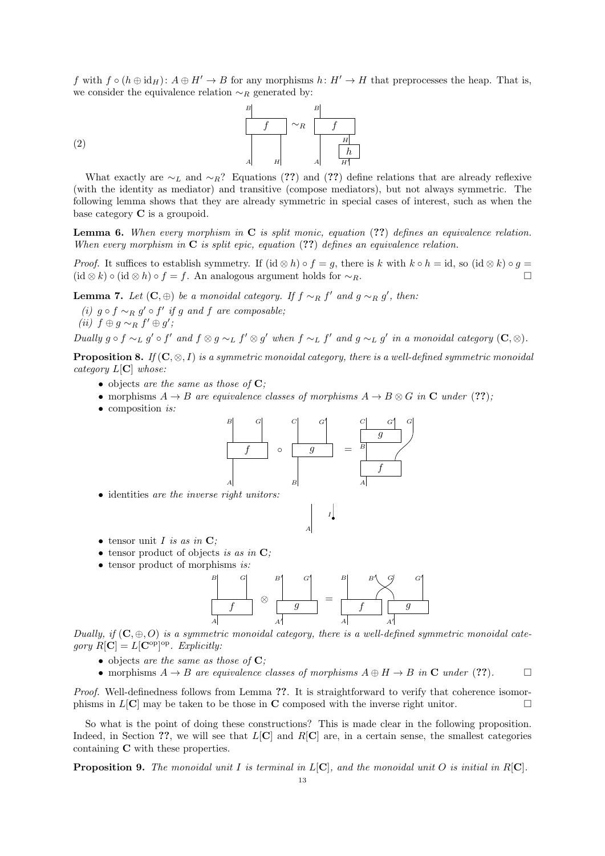f with  $f \circ (h \oplus id_H): A \oplus H' \to B$  for any morphisms  $h: H' \to H$  that preprocesses the heap. That is, we consider the equivalence relation  $\sim_R$  generated by:



$$
\left( 2\right)
$$

What exactly are  $\sim_L$  and  $\sim_R$ ? Equations (??) and (??) define relations that are already reflexive (with the identity as mediator) and transitive (compose mediators), but not always symmetric. The following lemma shows that they are already symmetric in special cases of interest, such as when the base category C is a groupoid.

**Lemma 6.** When every morphism in  $C$  is split monic, equation  $(??)$  defines an equivalence relation. When every morphism in  $C$  is split epic, equation (??) defines an equivalence relation.

*Proof.* It suffices to establish symmetry. If  $(id \otimes h) \circ f = q$ , there is k with  $k \circ h = id$ , so  $(id \otimes k) \circ q =$  $(id \otimes k) \circ (id \otimes h) \circ f = f$ . An analogous argument holds for  $\sim_R$ .

**Lemma 7.** Let  $(C, \oplus)$  be a monoidal category. If  $f \sim_R f'$  and  $g \sim_R g'$ , then:

(i)  $g \circ f \sim_R g' \circ f'$  if g and f are composable; (ii)  $f \oplus g \sim_R f' \oplus g'$ ;

Dually  $g \circ f \sim_L g' \circ f'$  and  $f \otimes g \sim_L f' \otimes g'$  when  $f \sim_L f'$  and  $g \sim_L g'$  in a monoidal category  $(C, \otimes)$ .

**Proposition 8.** If  $(C, \otimes, I)$  is a symmetric monoidal category, there is a well-defined symmetric monoidal category  $L[\mathbf{C}]$  whose:

- objects are the same as those of  $C$ ;
- morphisms  $A \rightarrow B$  are equivalence classes of morphisms  $A \rightarrow B \otimes G$  in C under (??);
- composition *is*:



I

• identities are the inverse right unitors:

• tensor unit 
$$
I
$$
 is as in  $C$ ;

- tensor product of objects is as in  $\mathbf{C}$ ;
- tensor product of morphisms is:



A

Dually, if  $(C, \oplus, O)$  is a symmetric monoidal category, there is a well-defined symmetric monoidal category  $R[\mathbf{C}] = L[\mathbf{C}^{\mathrm{op}}]^{\mathrm{op}}$ . Explicitly:

- objects are the same as those of  $C$ ;
- morphisms  $A \to B$  are equivalence classes of morphisms  $A \oplus H \to B$  in C under (??).

Proof. Well-definedness follows from Lemma ??. It is straightforward to verify that coherence isomorphisms in  $L[\mathbf{C}]$  may be taken to be those in  $\mathbf C$  composed with the inverse right unitor.

So what is the point of doing these constructions? This is made clear in the following proposition. Indeed, in Section ??, we will see that  $L[\mathbf{C}]$  and  $R[\mathbf{C}]$  are, in a certain sense, the smallest categories containing C with these properties.

**Proposition 9.** The monoidal unit I is terminal in  $L[C]$ , and the monoidal unit O is initial in  $R[C]$ .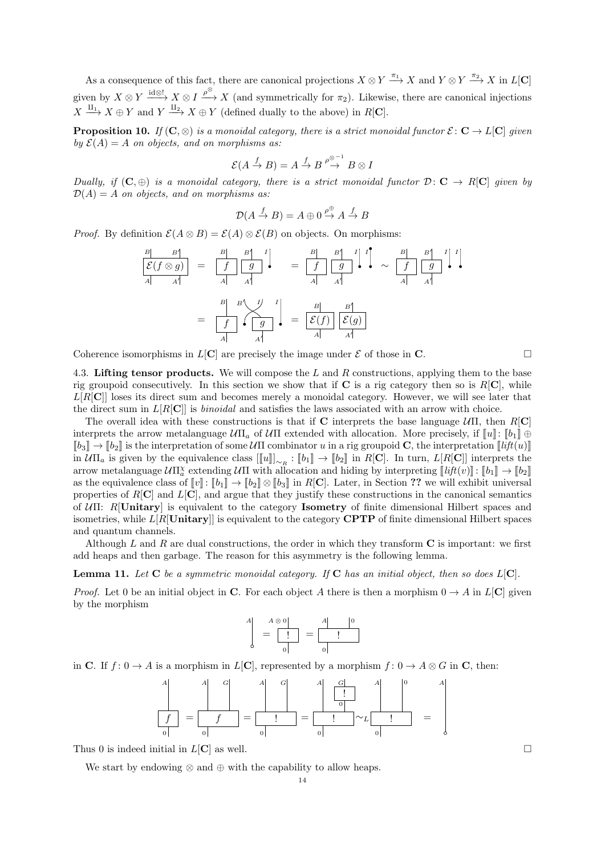As a consequence of this fact, there are canonical projections  $X \otimes Y \stackrel{\pi_1}{\longrightarrow} X$  and  $Y \otimes Y \stackrel{\pi_2}{\longrightarrow} X$  in  $L[\mathbf{C}]$ given by  $X \otimes Y \xrightarrow{\text{id} \otimes !} X \otimes I \xrightarrow{\rho^{\otimes}} X$  (and symmetrically for  $\pi_2$ ). Likewise, there are canonical injections  $X \xrightarrow{\text{II}_1} X \oplus Y$  and  $Y \xrightarrow{\text{II}_2} X \oplus Y$  (defined dually to the above) in  $R[\mathbf{C}]$ .

**Proposition 10.** If  $(C, \otimes)$  is a monoidal category, there is a strict monoidal functor  $\mathcal{E}: C \to L[C]$  given by  $\mathcal{E}(A) = A$  on objects, and on morphisms as:

$$
\mathcal{E}(A \stackrel{f}{\to} B) = A \stackrel{f}{\to} B \stackrel{\rho \otimes -1}{\to} B \otimes I
$$

Dually, if  $(C, \oplus)$  is a monoidal category, there is a strict monoidal functor  $D: C \to R[C]$  given by  $D(A) = A$  on objects, and on morphisms as:

$$
\mathcal{D}(A \xrightarrow{f} B) = A \oplus 0 \xrightarrow{\rho \oplus} A \xrightarrow{f} B
$$

*Proof.* By definition  $\mathcal{E}(A \otimes B) = \mathcal{E}(A) \otimes \mathcal{E}(B)$  on objects. On morphisms:

$$
\frac{B}{\begin{vmatrix} \mathcal{E}(f \otimes g) \\ A & A \end{vmatrix}} = \frac{B}{\begin{vmatrix} f \\ A \end{vmatrix}} \frac{B}{g} \frac{B}{g} \frac{B}{g} \frac{B}{g} \frac{B}{g} \frac{B}{g} \frac{B}{g} \frac{B}{g} \frac{B}{g} \frac{B}{g} \frac{B}{g} \frac{B}{g} \frac{B}{g} \frac{B}{g} \frac{B}{g} \frac{B}{g} \frac{B}{g} \frac{B}{g} \frac{B}{g} \frac{B}{g} \frac{B}{g} \frac{B}{g} \frac{B}{g} \frac{B}{g} \frac{B}{g} \frac{B}{g} \frac{B}{g} \frac{B}{g} \frac{B}{g} \frac{B}{g} \frac{B}{g} \frac{B}{g} \frac{B}{g} \frac{B}{g} \frac{B}{g} \frac{B}{g} \frac{B}{g} \frac{B}{g} \frac{B}{g} \frac{B}{g} \frac{B}{g} \frac{B}{g} \frac{B}{g} \frac{B}{g} \frac{B}{g} \frac{B}{g} \frac{B}{g} \frac{B}{g} \frac{B}{g} \frac{B}{g} \frac{B}{g} \frac{B}{g} \frac{B}{g} \frac{B}{g} \frac{B}{g} \frac{B}{g} \frac{B}{g} \frac{B}{g} \frac{B}{g} \frac{B}{g} \frac{B}{g} \frac{B}{g} \frac{B}{g} \frac{B}{g} \frac{B}{g} \frac{B}{g} \frac{B}{g} \frac{B}{g} \frac{B}{g} \frac{B}{g} \frac{B}{g} \frac{B}{g} \frac{B}{g} \frac{B}{g} \frac{B}{g} \frac{B}{g} \frac{B}{g} \frac{B}{g} \frac{B}{g} \frac{B}{g} \frac{B}{g} \frac{B}{g} \frac{B}{g} \frac{B}{g} \frac{B}{g} \frac{B}{g} \frac{B}{g} \frac{B}{g} \frac{B}{g} \frac{B}{g} \frac{B}{g} \frac{B}{g} \frac{B}{g} \frac{B}{g} \frac{B}{g} \frac{B}{g} \frac{B}{g} \frac{B}{g} \frac{B}{g} \frac{B}{g} \frac{B}{g
$$

Coherence isomorphisms in  $L[\mathbf{C}]$  are precisely the image under  $\mathcal E$  of those in  $\mathbf C$ .

4.3. Lifting tensor products. We will compose the  $L$  and  $R$  constructions, applying them to the base rig groupoid consecutively. In this section we show that if  $C$  is a rig category then so is  $R[C]$ , while  $L[R[\mathbf{C}]]$  loses its direct sum and becomes merely a monoidal category. However, we will see later that the direct sum in  $L[R[\mathbf{C}]]$  is *binoidal* and satisfies the laws associated with an arrow with choice.

The overall idea with these constructions is that if C interprets the base language  $U\Pi$ , then  $R[\mathbf{C}]$ interprets the arrow metalanguage  $U\Pi_a$  of  $U\Pi$  extended with allocation. More precisely, if  $[\![u]\!]$ :  $[\![b_1]\!] \oplus$  $\llbracket b_3 \rrbracket \to \llbracket b_2 \rrbracket$  is the interpretation of some  $\mathcal{U}\Pi$  combinator u in a rig groupoid **C**, the interpretation  $\llbracket lift(u) \rrbracket$ in  $\mathcal{U}\Pi_a$  is given by the equivalence class  $[[u]]_{\sim_R}$ :  $[[b_1]] \to [b_2]]$  in  $R[\mathbf{C}]$ . In turn,  $L[R[\mathbf{C}]]$  interprets the arrow metalanguage  $\mathcal{U}\Pi^{\chi}_{\alpha}$  extending  $\mathcal{U}\Pi$  with allocation and hiding by interpreting  $[\![\mathit{lift}(v)]\!]$ :  $[\![\mathit{b}_1]\!] \to [\![\mathit{b}_2]\!]$ as the equivalence class of  $[\![v]\!] : [\![b_1]\!] \to [\![b_2]\!] \otimes [\![b_3]\!]$  in R[C]. Later, in Section ?? we will exhibit universal properties of  $R[\mathbf{C}]$  and  $L[\mathbf{C}]$ , and argue that they justify these constructions in the canonical semantics of UΠ: R[Unitary] is equivalent to the category Isometry of finite dimensional Hilbert spaces and isometries, while  $L[R[\text{Unitary}]$  is equivalent to the category **CPTP** of finite dimensional Hilbert spaces and quantum channels.

Although L and R are dual constructions, the order in which they transform  $C$  is important: we first add heaps and then garbage. The reason for this asymmetry is the following lemma.

**Lemma 11.** Let  $C$  be a symmetric monoidal category. If  $C$  has an initial object, then so does  $L[C]$ .

*Proof.* Let 0 be an initial object in C. For each object A there is then a morphism  $0 \to A$  in  $L[C]$  given by the morphism

$$
\begin{array}{c}\nA \\
A \\
B\n\end{array} = \begin{array}{c|c}\nA \otimes 0 \\
\hline\n\end{array} = \begin{array}{c|c}\nA & 0 \\
\hline\n\end{array}
$$

in C. If  $f: 0 \to A$  is a morphism in  $L[\mathbf{C}]$ , represented by a morphism  $f: 0 \to A \otimes G$  in C, then:

$$
\frac{A}{\begin{vmatrix} f \\ 0 \end{vmatrix}} = \frac{A}{\begin{vmatrix} f \\ 0 \end{vmatrix}} = \frac{A}{\begin{vmatrix} 1 \\ 0 \end{vmatrix}} = \frac{A}{\begin{vmatrix} 1 \\ 0 \end{vmatrix}} = \frac{A}{\begin{vmatrix} 1 \\ 0 \end{vmatrix}} \sim L \frac{A}{\begin{vmatrix} 1 \\ 0 \end{vmatrix}} =
$$

Thus 0 is indeed initial in  $L[\mathbf{C}]$  as well.

We start by endowing  $\otimes$  and  $\oplus$  with the capability to allow heaps.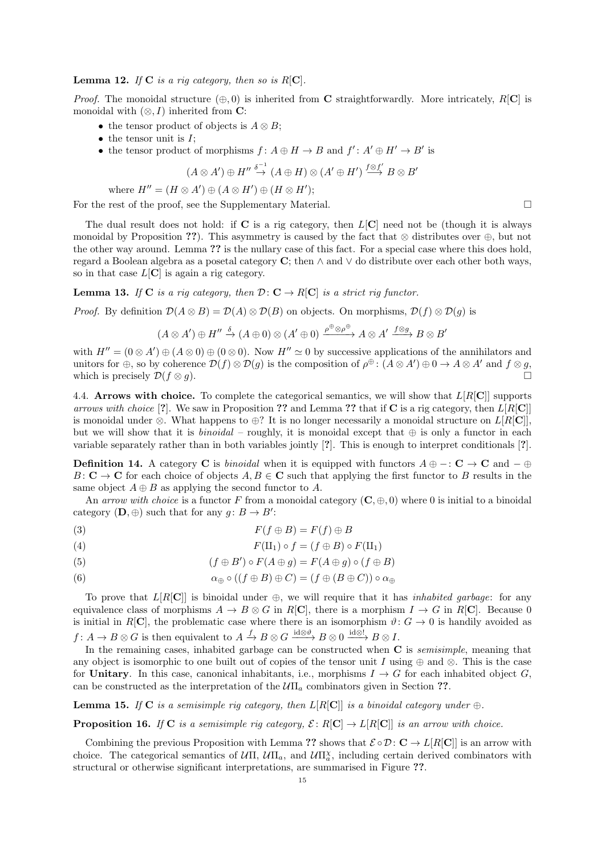**Lemma 12.** If  $C$  is a rig category, then so is  $R[C]$ .

*Proof.* The monoidal structure  $(\oplus, 0)$  is inherited from C straightforwardly. More intricately, R[C] is monoidal with  $(\otimes, I)$  inherited from **C**:

- the tensor product of objects is  $A \otimes B$ ;
- $\bullet$  the tensor unit is  $I$ ;
- the tensor product of morphisms  $f: A \oplus H \to B$  and  $f': A' \oplus H' \to B'$  is

$$
(A \otimes A') \oplus H'' \stackrel{\delta^{-1}}{\rightarrow} (A \oplus H) \otimes (A' \oplus H') \stackrel{f \otimes f'}{\rightarrow} B \otimes B'
$$

where 
$$
H'' = (H \otimes A') \oplus (A \otimes H') \oplus (H \otimes H')
$$
;

For the rest of the proof, see the Supplementary Material.

The dual result does not hold: if  $C$  is a rig category, then  $L[C]$  need not be (though it is always monoidal by Proposition ??). This asymmetry is caused by the fact that  $\otimes$  distributes over  $\oplus$ , but not the other way around. Lemma ?? is the nullary case of this fact. For a special case where this does hold, regard a Boolean algebra as a posetal category C; then  $\wedge$  and  $\vee$  do distribute over each other both ways, so in that case  $L[\mathbf{C}]$  is again a rig category.

**Lemma 13.** If C is a rig category, then  $\mathcal{D}: \mathbf{C} \to R[\mathbf{C}]$  is a strict rig functor.

*Proof.* By definition  $\mathcal{D}(A \otimes B) = \mathcal{D}(A) \otimes \mathcal{D}(B)$  on objects. On morphisms,  $\mathcal{D}(f) \otimes \mathcal{D}(g)$  is

$$
(A \otimes A') \oplus H'' \xrightarrow{\delta} (A \oplus 0) \otimes (A' \oplus 0) \xrightarrow{\rho \oplus \otimes \rho \oplus} A \otimes A' \xrightarrow{f \otimes g} B \otimes B'
$$

with  $H'' = (0 \otimes A') \oplus (A \otimes 0) \oplus (0 \otimes 0)$ . Now  $H'' \simeq 0$  by successive applications of the annihilators and unitors for  $\oplus$ , so by coherence  $\mathcal{D}(f) \otimes \mathcal{D}(g)$  is the composition of  $\rho^{\oplus}$ :  $(A \otimes A') \oplus 0 \to A \otimes A'$  and  $f \otimes g$ , which is precisely  $\mathcal{D}(f \otimes g)$ .

4.4. Arrows with choice. To complete the categorical semantics, we will show that  $L[R[\mathbf{C}]]$  supports arrows with choice [?]. We saw in Proposition ?? and Lemma ?? that if C is a rig category, then  $L[R[\mathbf{C}]]$ is monoidal under ⊗. What happens to  $\oplus$ ? It is no longer necessarily a monoidal structure on  $L[R[\mathbf{C}]]$ , but we will show that it is *binoidal* – roughly, it is monoidal except that  $oplus$  is only a functor in each variable separately rather than in both variables jointly [?]. This is enough to interpret conditionals [?].

**Definition 14.** A category **C** is *binoidal* when it is equipped with functors  $A \oplus -: \mathbf{C} \to \mathbf{C}$  and  $-\oplus$  $B: \mathbf{C} \to \mathbf{C}$  for each choice of objects  $A, B \in \mathbf{C}$  such that applying the first functor to B results in the same object  $A \oplus B$  as applying the second functor to A.

An arrow with choice is a functor F from a monoidal category  $(C, \oplus, 0)$  where 0 is initial to a binoidal category  $(D, \oplus)$  such that for any  $g: B \to B'$ :

$$
(3) \tF(f \oplus B) = F(f) \oplus B
$$

(4) 
$$
F(\mathrm{II}_1) \circ f = (f \oplus B) \circ F(\mathrm{II}_1)
$$

(5) 
$$
(f \oplus B') \circ F(A \oplus g) = F(A \oplus g) \circ (f \oplus B)
$$

(6) 
$$
\alpha_{\oplus} \circ ((f \oplus B) \oplus C) = (f \oplus (B \oplus C)) \circ \alpha_{\oplus}
$$

To prove that  $L[R[\mathbf{C}]]$  is binoidal under  $\oplus$ , we will require that it has *inhabited garbage*: for any equivalence class of morphisms  $A \to B \otimes G$  in R[C], there is a morphism  $I \to G$  in R[C]. Because 0 is initial in R[C], the problematic case where there is an isomorphism  $\vartheta: G \to 0$  is handily avoided as  $f: A \to B \otimes G$  is then equivalent to  $A \xrightarrow{f} B \otimes G \xrightarrow{\mathrm{id} \otimes \vartheta} B \otimes 0 \xrightarrow{\mathrm{id} \otimes !} B \otimes I$ .

In the remaining cases, inhabited garbage can be constructed when  $C$  is *semisimple*, meaning that any object is isomorphic to one built out of copies of the tensor unit I using  $oplus$  and  $\otimes$ . This is the case for Unitary. In this case, canonical inhabitants, i.e., morphisms  $I \to G$  for each inhabited object G, can be constructed as the interpretation of the  $U\Pi_a$  combinators given in Section ??.

**Lemma 15.** If C is a semisimple rig category, then  $L[R[\mathbf{C}]]$  is a binoidal category under  $\oplus$ .

**Proposition 16.** If C is a semisimple rig category,  $\mathcal{E}: R[\mathbf{C}] \to L[R[\mathbf{C}]]$  is an arrow with choice.

Combining the previous Proposition with Lemma ?? shows that  $\mathcal{E} \circ \mathcal{D} : \mathbf{C} \to L[R[\mathbf{C}]]$  is an arrow with choice. The categorical semantics of  $U\Pi$ ,  $U\Pi_a$ , and  $U\Pi^{\chi}_a$ , including certain derived combinators with structural or otherwise significant interpretations, are summarised in Figure ??.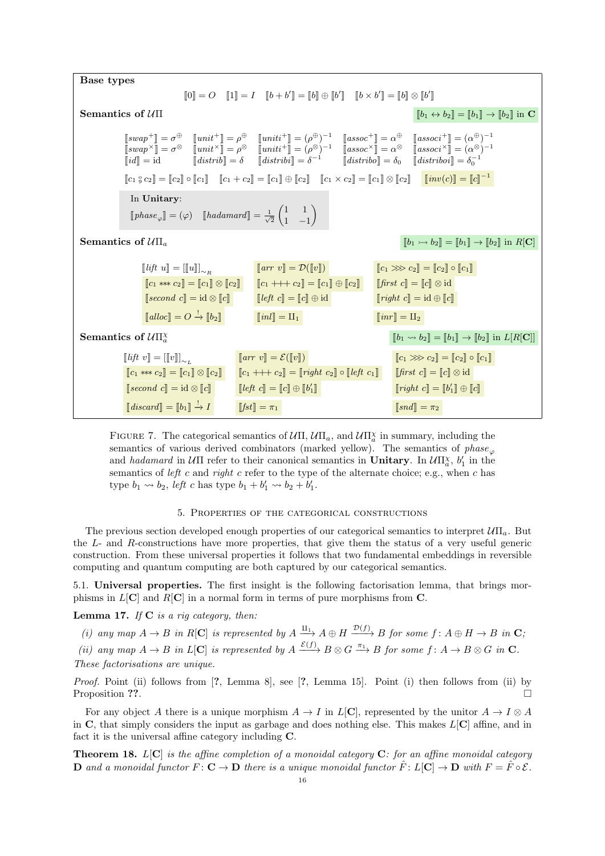| Base types                                                                                                                                                                                                                                                                                                                                                                               |                                                                                                                                                                                                                                                                                                                                                                                                                                                                                                                                                                                                                                                                                                                                                                                                                                                                                                                                                                                                                                                                                                 |                                                                                                                                                                                                                                                                             |  |  |  |  |
|------------------------------------------------------------------------------------------------------------------------------------------------------------------------------------------------------------------------------------------------------------------------------------------------------------------------------------------------------------------------------------------|-------------------------------------------------------------------------------------------------------------------------------------------------------------------------------------------------------------------------------------------------------------------------------------------------------------------------------------------------------------------------------------------------------------------------------------------------------------------------------------------------------------------------------------------------------------------------------------------------------------------------------------------------------------------------------------------------------------------------------------------------------------------------------------------------------------------------------------------------------------------------------------------------------------------------------------------------------------------------------------------------------------------------------------------------------------------------------------------------|-----------------------------------------------------------------------------------------------------------------------------------------------------------------------------------------------------------------------------------------------------------------------------|--|--|--|--|
| $[0] = O$ $[1] = I$ $[b + b'] = [b] \oplus [b']$ $[b \times b'] = [b] \otimes [b']$                                                                                                                                                                                                                                                                                                      |                                                                                                                                                                                                                                                                                                                                                                                                                                                                                                                                                                                                                                                                                                                                                                                                                                                                                                                                                                                                                                                                                                 |                                                                                                                                                                                                                                                                             |  |  |  |  |
| Semantics of $U\Pi$<br>$[[b_1 \leftrightarrow b_2]] = [[b_1]] \rightarrow [[b_2]]$ in C                                                                                                                                                                                                                                                                                                  |                                                                                                                                                                                                                                                                                                                                                                                                                                                                                                                                                                                                                                                                                                                                                                                                                                                                                                                                                                                                                                                                                                 |                                                                                                                                                                                                                                                                             |  |  |  |  |
|                                                                                                                                                                                                                                                                                                                                                                                          | $\begin{array}{llllllll} \left[\!\!\begin{smallmatrix} suap^+ \end{smallmatrix}\!\!\right]=\sigma^\oplus& \left[\!\!\begin{smallmatrix} unit^+ \end{smallmatrix}\!\!\right]=\rho^\oplus& \left[\!\!\begin{smallmatrix} unit^+ \end{smallmatrix}\!\!\right]=(\rho^\oplus)^{-1}& \left[\!\!\begin{smallmatrix} assoc^+ \end{smallmatrix}\!\!\right]=\alpha^\oplus& \left[\!\!\begin{smallmatrix} assoc^+ \end{smallmatrix}\!\!\right]=(\alpha^\oplus)^{-1}\\ \left[\!\!\begin{smallmatrix} suap^{\times} \end{smallmatrix}\!\!\right]=\sigma^\otimes& \left[\!\!\begin{smallmatrix} unit^+ \end{smallmatrix}\!\!\right]=\$<br>$\begin{bmatrix}c_1\mathbin{.\scriptscriptstyle\circ} c_2\end{bmatrix}=\begin{bmatrix}c_2\end{bmatrix}\circ\begin{bmatrix}c_1\end{bmatrix}\quad \begin{bmatrix}c_1+c_2\end{bmatrix}=\begin{bmatrix}c_1\end{bmatrix}\oplus\begin{bmatrix}c_2\end{bmatrix}\quad \begin{bmatrix}c_1\times c_2\end{bmatrix}=\begin{bmatrix}c_1\end{bmatrix}\otimes\begin{bmatrix}c_2\end{bmatrix}\quad \begin{bmatrix}\mathbin{inv}(c)\end{bmatrix}=\begin{bmatrix}c\end{bmatrix}^{-1}$ |                                                                                                                                                                                                                                                                             |  |  |  |  |
| In Unitary:<br>$[phase_{\varphi}] = (\varphi) \quad [hadamard] = \frac{1}{\sqrt{2}} \begin{pmatrix} 1 & 1 \\ 1 & -1 \end{pmatrix}$                                                                                                                                                                                                                                                       |                                                                                                                                                                                                                                                                                                                                                                                                                                                                                                                                                                                                                                                                                                                                                                                                                                                                                                                                                                                                                                                                                                 |                                                                                                                                                                                                                                                                             |  |  |  |  |
| Semantics of $U\Pi_a$<br>$[[b_1 \rightarrow b_2]] = [[b_1]] \rightarrow [[b_2]]$ in $R[\mathbf{C}]$                                                                                                                                                                                                                                                                                      |                                                                                                                                                                                                                                                                                                                                                                                                                                                                                                                                                                                                                                                                                                                                                                                                                                                                                                                                                                                                                                                                                                 |                                                                                                                                                                                                                                                                             |  |  |  |  |
| $[$ <i>lift</i> $u[$ = $[[u]]_{\sim_P}$<br>$[c_1 \ast \ast c_2] = [c_1] \otimes [c_2]$<br>$\llbracket second \ c \rrbracket = \mathrm{id} \otimes \llbracket c \rrbracket$<br>$\llbracket \text{alloc} \rrbracket = O \stackrel{!}{\rightarrow} \llbracket b_2 \rrbracket$                                                                                                               | $\llbracket arr \ v \rrbracket = \mathcal{D}(\llbracket v \rrbracket)$<br>$[c_1 + + + c_2] = [c_1] \oplus [c_2]$<br>$\llbracket \text{left } c \rrbracket = \llbracket c \rrbracket \oplus \mathrm{id}$<br>$\ \textit{inl}\  = \amalg_1$                                                                                                                                                                                                                                                                                                                                                                                                                                                                                                                                                                                                                                                                                                                                                                                                                                                        | $[c_1 \gg c_2] = [c_2] \circ [c_1]$<br>$\llbracket \text{first } c \rrbracket = \llbracket c \rrbracket \otimes \text{id}$<br>$\llbracket right \ c \rrbracket = \mathrm{id} \oplus \llbracket c \rrbracket$<br>$\llbracket inr \rrbracket = \amalg_2$                      |  |  |  |  |
| Semantics of $U\Pi^{\chi}_{a}$                                                                                                                                                                                                                                                                                                                                                           | $[[b_1 \leadsto b_2]] = [[b_1]] \rightarrow [[b_2]]$ in $L[R[\mathbf{C}]]$                                                                                                                                                                                                                                                                                                                                                                                                                                                                                                                                                                                                                                                                                                                                                                                                                                                                                                                                                                                                                      |                                                                                                                                                                                                                                                                             |  |  |  |  |
| $\llbracket \text{lift} \ v \rrbracket = \llbracket \llbracket v \rrbracket \rrbracket_{\sim}$<br>$\llbracket c_1 \ast \ast c_2 \rrbracket = \llbracket c_1 \rrbracket \otimes \llbracket c_2 \rrbracket$<br>$\llbracket second \ c \rrbracket = \mathrm{id} \otimes \llbracket c \rrbracket$<br>$\llbracket discard \rrbracket = \llbracket b_1 \rrbracket \stackrel{!}{\rightarrow} I$ | $\llbracket arr \ v \rrbracket = \mathcal{E}(\llbracket v \rrbracket)$<br>$[c_1 + c_2] = [right c_2] \circ [left c_1]$<br>$\llbracket \text{left } c \rrbracket = \llbracket c \rrbracket \oplus \llbracket b'_1 \rrbracket$<br>$[[fst]] = \pi_1$                                                                                                                                                                                                                                                                                                                                                                                                                                                                                                                                                                                                                                                                                                                                                                                                                                               | $[c_1 \gg c_2] = [c_2] \circ [c_1]$<br>$\llbracket \text{first } c \rrbracket = \llbracket c \rrbracket \otimes \text{id}$<br>$\llbracket right \ c \rrbracket = \llbracket b'_1 \rrbracket \oplus \llbracket c \rrbracket$<br>$\llbracket \mathit{snd} \rrbracket = \pi_2$ |  |  |  |  |

FIGURE 7. The categorical semantics of  $\mathcal{U}\Pi$ ,  $\mathcal{U}\Pi_a$ , and  $\mathcal{U}\Pi_a^{\chi}$  in summary, including the semantics of various derived combinators (marked yellow). The semantics of  $phase_{\varphi}$ and hadamard in  $\mathcal{U}\Pi$  refer to their canonical semantics in **Unitary**. In  $\mathcal{U}\Pi^{\chi}_{a}$ ,  $b'_{1}$  in the semantics of left c and right c refer to the type of the alternate choice; e.g., when c has type  $b_1 \rightsquigarrow b_2$ , *left c* has type  $b_1 + b'_1 \rightsquigarrow b_2 + b'_1$ .

# 5. Properties of the categorical constructions

The previous section developed enough properties of our categorical semantics to interpret  $U\Pi_a$ . But the L- and R-constructions have more properties, that give them the status of a very useful generic construction. From these universal properties it follows that two fundamental embeddings in reversible computing and quantum computing are both captured by our categorical semantics.

5.1. Universal properties. The first insight is the following factorisation lemma, that brings morphisms in  $L[\mathbf{C}]$  and  $R[\mathbf{C}]$  in a normal form in terms of pure morphisms from  $\mathbf{C}$ .

**Lemma 17.** If  $C$  is a rig category, then:

(i) any map  $A \to B$  in R[C] is represented by  $A \xrightarrow{\Pi_1} A \oplus H \xrightarrow{\mathcal{D}(f)} B$  for some  $f: A \oplus H \to B$  in  $\mathbf{C}$ ;

(ii) any map  $A \to B$  in  $L[\mathbf{C}]$  is represented by  $A \xrightarrow{\mathcal{E}(f)} B \otimes G \xrightarrow{\pi_1} B$  for some  $f: A \to B \otimes G$  in  $\mathbf{C}$ .

These factorisations are unique.

Proof. Point (ii) follows from [?, Lemma 8], see [?, Lemma 15]. Point (i) then follows from (ii) by Proposition ??.

For any object A there is a unique morphism  $A \to I$  in  $L[\mathbb{C}]$ , represented by the unitor  $A \to I \otimes A$ in C, that simply considers the input as garbage and does nothing else. This makes  $L[\mathbf{C}]$  affine, and in fact it is the universal affine category including C.

**Theorem 18.** L[C] is the affine completion of a monoidal category  $C$ : for an affine monoidal category **D** and a monoidal functor  $F: \mathbf{C} \to \mathbf{D}$  there is a unique monoidal functor  $\hat{F}: L[\mathbf{C}] \to \mathbf{D}$  with  $F = \hat{F} \circ \mathcal{E}$ .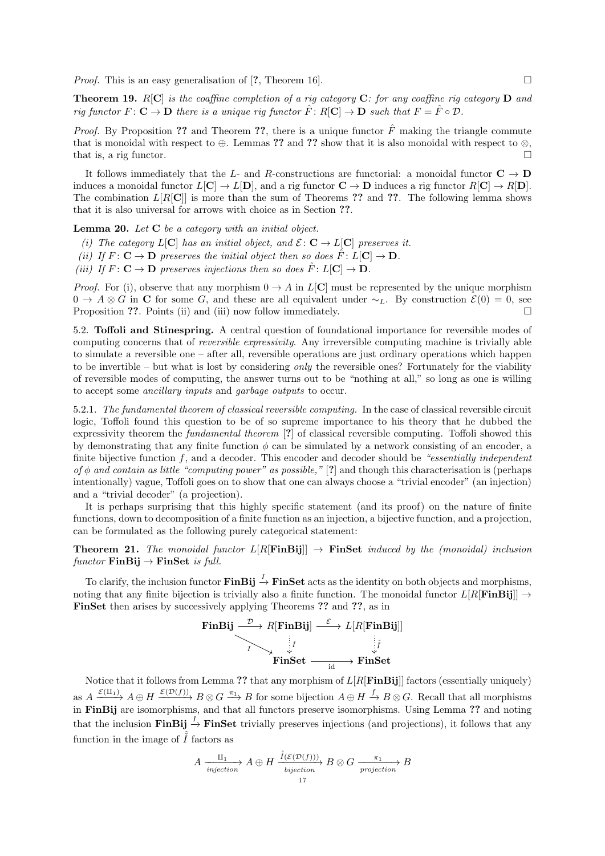*Proof.* This is an easy generalisation of [?, Theorem 16].

**Theorem 19.**  $R[C]$  is the coaffine completion of a rig category C: for any coaffine rig category D and rig functor  $F: \mathbf{C} \to \mathbf{D}$  there is a unique rig functor  $\hat{F}: R[\mathbf{C}] \to \mathbf{D}$  such that  $F = \hat{F} \circ \mathcal{D}$ .

*Proof.* By Proposition ?? and Theorem ??, there is a unique functor  $\hat{F}$  making the triangle commute that is monoidal with respect to  $\oplus$ . Lemmas ?? and ?? show that it is also monoidal with respect to  $\otimes$ , that is, a rig functor.  $\square$ 

It follows immediately that the L- and R-constructions are functorial: a monoidal functor  $C \rightarrow D$ induces a monoidal functor  $L[\mathbf{C}] \to L[\mathbf{D}]$ , and a rig functor  $\mathbf{C} \to \mathbf{D}$  induces a rig functor  $R[\mathbf{C}] \to R[\mathbf{D}]$ . The combination  $L[R[\mathbf{C}]]$  is more than the sum of Theorems ?? and ??. The following lemma shows that it is also universal for arrows with choice as in Section ??.

**Lemma 20.** Let  $C$  be a category with an initial object.

- (i) The category  $L[\mathbf{C}]$  has an initial object, and  $\mathcal{E}: \mathbf{C} \to L[\mathbf{C}]$  preserves it.
- (ii) If  $F: \mathbf{C} \to \mathbf{D}$  preserves the initial object then so does  $\hat{F}: L[\mathbf{C}] \to \mathbf{D}$ .
- (iii) If  $F: \mathbf{C} \to \mathbf{D}$  preserves injections then so does  $\hat{F}: L[\mathbf{C}] \to \mathbf{D}$ .

*Proof.* For (i), observe that any morphism  $0 \rightarrow A$  in  $L[C]$  must be represented by the unique morphism  $0 \to A \otimes G$  in C for some G, and these are all equivalent under  $\sim_L$ . By construction  $\mathcal{E}(0) = 0$ , see Proposition ??. Points (ii) and (iii) now follow immediately.  $\Box$ 

5.2. Toffoli and Stinespring. A central question of foundational importance for reversible modes of computing concerns that of reversible expressivity. Any irreversible computing machine is trivially able to simulate a reversible one – after all, reversible operations are just ordinary operations which happen to be invertible – but what is lost by considering only the reversible ones? Fortunately for the viability of reversible modes of computing, the answer turns out to be "nothing at all," so long as one is willing to accept some ancillary inputs and garbage outputs to occur.

5.2.1. The fundamental theorem of classical reversible computing. In the case of classical reversible circuit logic, Toffoli found this question to be of so supreme importance to his theory that he dubbed the expressivity theorem the fundamental theorem [?] of classical reversible computing. Toffoli showed this by demonstrating that any finite function  $\phi$  can be simulated by a network consisting of an encoder, a finite bijective function  $f$ , and a decoder. This encoder and decoder should be "essentially independent" of  $\phi$  and contain as little "computing power" as possible," [?] and though this characterisation is (perhaps intentionally) vague, Toffoli goes on to show that one can always choose a "trivial encoder" (an injection) and a "trivial decoder" (a projection).

It is perhaps surprising that this highly specific statement (and its proof) on the nature of finite functions, down to decomposition of a finite function as an injection, a bijective function, and a projection, can be formulated as the following purely categorical statement:

**Theorem 21.** The monoidal functor  $L[R[\mathbf{FinBij}]] \rightarrow \mathbf{FinSet}$  induced by the (monoidal) inclusion  $functor$  FinBij  $\rightarrow$  FinSet is full.

To clarify, the inclusion functor  $\textbf{FinBij} \stackrel{I}{\rightarrow} \textbf{FinSet}$  acts as the identity on both objects and morphisms, noting that any finite bijection is trivially also a finite function. The monoidal functor  $L[R[\mathbf{Fin}\mathbf{Bij}]] \rightarrow$ FinSet then arises by successively applying Theorems ?? and ??, as in

$$
\begin{array}{ccc}\n\textbf{FinBij} & \xrightarrow{\mathcal{D}} R[\textbf{FinBij}] & \xrightarrow{\mathcal{E}} L[R[\textbf{FinBij}]] \\
\hline\n\textbf{FinSet} & \downarrow \textbf{FinSet} \\
\textbf{FinSet} & \xrightarrow{\text{id}} \textbf{FinSet}\n\end{array}
$$

Notice that it follows from Lemma ?? that any morphism of  $L[R[\mathbf{Fin}\mathbf{Bij}]$  factors (essentially uniquely) as  $A \xrightarrow{\mathcal{E}(\Pi_1)} A \oplus H \xrightarrow{\mathcal{E}(\mathcal{D}(f))} B \otimes G \xrightarrow{\pi_1} B$  for some bijection  $A \oplus H \xrightarrow{f} B \otimes G$ . Recall that all morphisms in FinBij are isomorphisms, and that all functors preserve isomorphisms. Using Lemma ?? and noting that the inclusion  $\textbf{FinBij} \stackrel{I}{\rightarrow} \textbf{FinSet}$  trivially preserves injections (and projections), it follows that any function in the image of  $\tilde{I}$  factors as

$$
A \xrightarrow[injection]{\text{II}_1} A \oplus H \xrightarrow[bijection]{\hat{I}(\mathcal{E}(\mathcal{D}(f)))} B \otimes G \xrightarrow[projection]{\pi_1} B
$$
  
17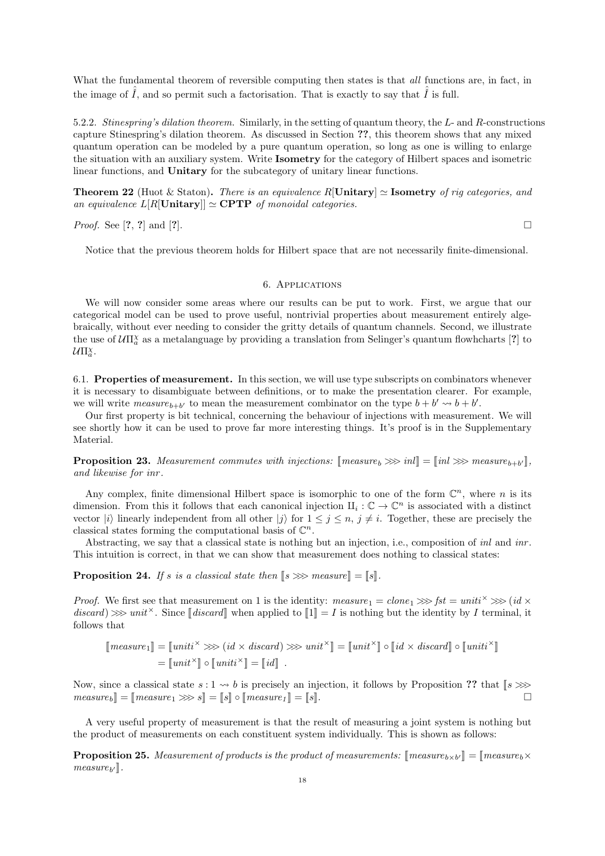What the fundamental theorem of reversible computing then states is that all functions are, in fact, in the image of  $\tilde{I}$ , and so permit such a factorisation. That is exactly to say that  $\tilde{I}$  is full.

5.2.2. Stinespring's dilation theorem. Similarly, in the setting of quantum theory, the L- and R-constructions capture Stinespring's dilation theorem. As discussed in Section ??, this theorem shows that any mixed quantum operation can be modeled by a pure quantum operation, so long as one is willing to enlarge the situation with an auxiliary system. Write Isometry for the category of Hilbert spaces and isometric linear functions, and **Unitary** for the subcategory of unitary linear functions.

**Theorem 22** (Huot & Staton). There is an equivalence  $R[\text{Unitary}] \simeq \text{Isometry of rig categories, and}$ an equivalence  $L[R[\text{Unitary}] \simeq \text{CPTP}$  of monoidal categories.

*Proof.* See [?, ?] and [?].

Notice that the previous theorem holds for Hilbert space that are not necessarily finite-dimensional.

### 6. Applications

We will now consider some areas where our results can be put to work. First, we argue that our categorical model can be used to prove useful, nontrivial properties about measurement entirely algebraically, without ever needing to consider the gritty details of quantum channels. Second, we illustrate the use of  $\mathcal{U}\Pi^{\chi}_{a}$  as a metalanguage by providing a translation from Selinger's quantum flowhcharts [?] to  $\mathcal{U} \Pi^{\chi}_a$ .

6.1. Properties of measurement. In this section, we will use type subscripts on combinators whenever it is necessary to disambiguate between definitions, or to make the presentation clearer. For example, we will write measure<sub>b+b'</sub> to mean the measurement combinator on the type  $b + b' \rightarrow b + b'$ .

Our first property is bit technical, concerning the behaviour of injections with measurement. We will see shortly how it can be used to prove far more interesting things. It's proof is in the Supplementary Material.

**Proposition 23.** Measurement commutes with injections:  $\text{[measure}_b \ggg in \text{] } = \text{[}inl \ggg \text{ measure}_{b+b'} \text{]}$ , and likewise for inn and likewise for inr .

Any complex, finite dimensional Hilbert space is isomorphic to one of the form  $\mathbb{C}^n$ , where n is its dimension. From this it follows that each canonical injection  $\mathcal{H}_i : \mathbb{C} \to \mathbb{C}^n$  is associated with a distinct vector  $|i\rangle$  linearly independent from all other  $|i\rangle$  for  $1 \leq j \leq n$ ,  $j \neq i$ . Together, these are precisely the classical states forming the computational basis of  $\mathbb{C}^n$ .

Abstracting, we say that a classical state is nothing but an injection, i.e., composition of inl and inr. This intuition is correct, in that we can show that measurement does nothing to classical states:

**Proposition 24.** If s is a classical state then  $[s \ggg$  measure  $\equiv [s]$ .

*Proof.* We first see that measurement on 1 is the identity:  $measure_1 = clone_1 \gggt; fst = unit^{\times} \gggt; (id \times$  $discard \gg \gg unit^{\times}$ . Since  $\llbracket discard \rrbracket$  when applied to  $\llbracket 1 \rrbracket = I$  is nothing but the identity by I terminal, it follows that

$$
\llbracket measure_1 \rrbracket = \llbracket unit^{\times} \ggg (id \times discard) \ggg unit^{\times} \rrbracket = \llbracket unit^{\times} \rrbracket \circ \llbracket id \times discard \rrbracket \circ \llbracket unit^{\times} \rrbracket
$$

$$
= \llbracket unit^{\times} \rrbracket \circ \llbracket unit^{\times} \rrbracket
$$

Now, since a classical state  $s : 1 \leadsto b$  is precisely an injection, it follows by Proposition ?? that  $[s \gg g] = \text{mean} \times s$   $s = \text{sin} \circ \text{mean} \times t$   $s = \text{sin} \circ \text{mean} \times t$  $measure_b$  =  $[measure_1 \ggg s] = [s] \circ [measure_1] = [s]$ .

A very useful property of measurement is that the result of measuring a joint system is nothing but the product of measurements on each constituent system individually. This is shown as follows:

**Proposition 25.** Measurement of products is the product of measurements:  $\left[\text{measure}_{b \times b'}\right] = \left[\text{measure}_{b} \times \text{measure}_{b'}\right]$  $measure_{b'}].$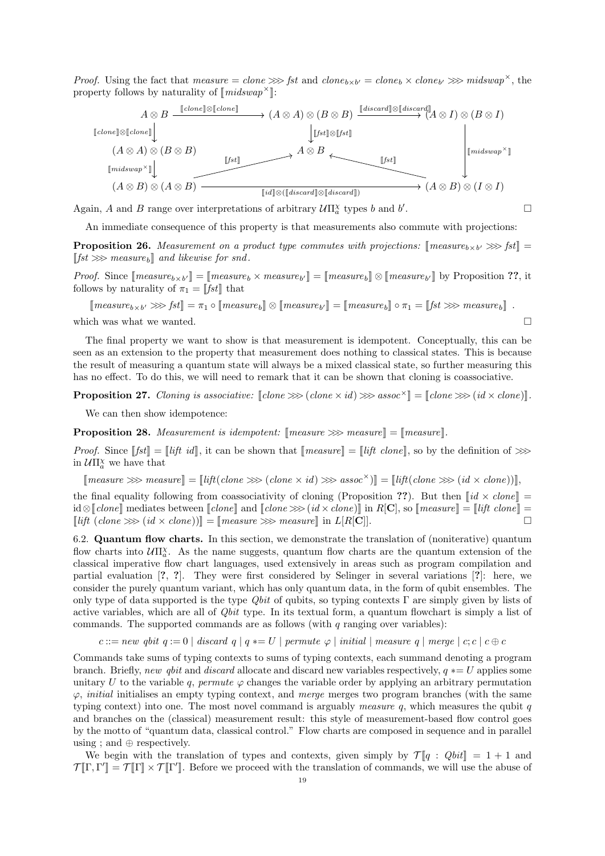*Proof.* Using the fact that measure = clone  $\gg$  fst and clone<sub>b×b'</sub> = clone<sub>b</sub> × clone<sub>b'</sub>  $\gg$  midswap<sup>x</sup>, the property follows by naturality of  $\llbracket midswap^\times \rrbracket$ :



Again, A and B range over interpretations of arbitrary  $\mathcal{U}\Pi^{\chi}_a$  types b and b

An immediate consequence of this property is that measurements also commute with projections:

**Proposition 26.** Measurement on a product type commutes with projections:  $\left[\text{measure}_{b \times b'} \ggg \text{fst}\right] = \left[\text{det} \ggg \text{ measure}_{b \times b'}\right]$  $[[fst \ggg]$  measure<sub>b</sub> and likewise for snd.

*Proof.* Since  $[\text{measure}_{b \times b'}] = [\text{measure}_{b} \times \text{measure}_{b'}] = [\text{measure}_{b}] \otimes [\text{measure}_{b'}]$  by Proposition ??, it follows by paturality of  $\pi_{\text{c}} = [\text{f} \epsilon t]$  that follows by naturality of  $\pi_1 = \llbracket \mathit{fst} \rrbracket$  that

 $[\text{measure}_{b \times b'} \gggt; \text{fst}]] = \pi_1 \circ [\text{measure}_b] \otimes [\text{measure}_{b'}]] = [\text{measure}_b] \circ \pi_1 = [\text{fst} \gggt; \text{measure}_b]]$ . which was what we wanted.  $\square$ 

The final property we want to show is that measurement is idempotent. Conceptually, this can be seen as an extension to the property that measurement does nothing to classical states. This is because the result of measuring a quantum state will always be a mixed classical state, so further measuring this has no effect. To do this, we will need to remark that it can be shown that cloning is coassociative.

**Proposition 27.** Cloning is associative:  $\llbracket \text{clone } \ggg \text{ (clone } \times \text{id} \text{)} \ggg \text{ assoc}^{\times} \llbracket = \llbracket \text{clone } \ggg \text{ (id } \times \text{clone} \text{)} \rrbracket.$ 

We can then show idempotence:

**Proposition 28.** Measurement is idempotent:  $\lceil \text{measure} \rangle \gg \text{measure} \rceil = \lceil \text{measure} \rceil$ .

*Proof.* Since  $[[fst]] = [[liftid]],$  it can be shown that  $[[measure]] = [[lift clone]],$  so by the definition of  $\gg$ in  $\mathcal{U}\Pi^{\chi}_a$  we have that

 $[measure \ggg measure] = [lift(cbone \ggg (clone \times id) \ggg assoc \times)] = [lift(cbone \ggg (id \times clone))],$ 

the final equality following from coassociativity of cloning (Proposition ??). But then  $\lceil id \times clone \rceil =$  $id \otimes [clone]$  mediates between  $[clone]$  and  $[clone \ggg(id \times clone)]$  in  $R[\mathbf{C}],$  so  $[measure] = [lift \; clone] = \text{Diff}$  $\lceil \text{lift } (\text{clone } \ggg \text{ (id } \times \text{clone})) \rceil = \lceil \text{measure } \ggg \text{ measure} \rceil \text{ in } L[R[\mathbf{C}]].$ 

6.2. Quantum flow charts. In this section, we demonstrate the translation of (noniterative) quantum flow charts into  $U\Pi^{\chi}_{a}$ . As the name suggests, quantum flow charts are the quantum extension of the classical imperative flow chart languages, used extensively in areas such as program compilation and partial evaluation [?, ?]. They were first considered by Selinger in several variations [?]: here, we consider the purely quantum variant, which has only quantum data, in the form of qubit ensembles. The only type of data supported is the type  $Qbit$  of qubits, so typing contexts Γ are simply given by lists of active variables, which are all of Qbit type. In its textual form, a quantum flowchart is simply a list of commands. The supported commands are as follows (with  $q$  ranging over variables):

c ::= new qbit  $q := 0$  | discard  $q | q == U$  | permute  $\varphi$  | initial | measure q | merge | c; c | c  $\oplus$  c

Commands take sums of typing contexts to sums of typing contexts, each summand denoting a program branch. Briefly, new qbit and discard allocate and discard new variables respectively,  $q \ast = U$  applies some unitary U to the variable q, permute  $\varphi$  changes the variable order by applying an arbitrary permutation  $\varphi$ , *initial* initialises an empty typing context, and *merge* merges two program branches (with the same typing context) into one. The most novel command is arguably measure q, which measures the qubit  $q$ and branches on the (classical) measurement result: this style of measurement-based flow control goes by the motto of "quantum data, classical control." Flow charts are composed in sequence and in parallel using ; and  $\oplus$  respectively.

We begin with the translation of types and contexts, given simply by  $\mathcal{T}[q : Qbit] = 1 + 1$  and  $\mathcal{T}[\![\Gamma,\Gamma']\!] = \mathcal{T}[\![\Gamma]\!] \times \mathcal{T}[\![\Gamma']\!]$ . Before we proceed with the translation of commands, we will use the abuse of

.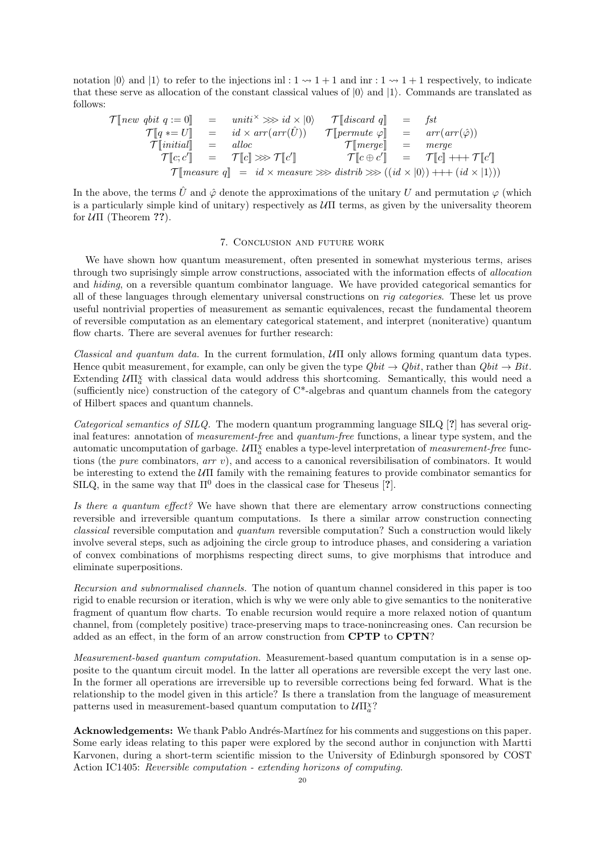notation  $|0\rangle$  and  $|1\rangle$  to refer to the injections inl :  $1 \rightsquigarrow 1 + 1$  and inr :  $1 \rightsquigarrow 1 + 1$  respectively, to indicate that these serve as allocation of the constant classical values of  $|0\rangle$  and  $|1\rangle$ . Commands are translated as follows:

$$
\mathcal{T}[\text{new qbit q} := 0] = \text{uniti} \times \gg \text{id} \times |0\rangle \qquad \mathcal{T}[\text{discard q}] = \text{fst}
$$
\n
$$
\mathcal{T}[\text{q} * = U] = \text{id} \times \text{arr}(\text{arr}(\hat{U})) \qquad \mathcal{T}[\text{permute } \varphi] = \text{arr}(\text{arr}(\hat{\varphi}))
$$
\n
$$
\mathcal{T}[\text{initial}] = \text{alloc} \qquad \mathcal{T}[\text{merge}] = \text{merge}
$$
\n
$$
\mathcal{T}[c; c'] = \mathcal{T}[c] \ggg \mathcal{T}[c'] \qquad \mathcal{T}[c \oplus c'] = \mathcal{T}[c] + \text{++} \mathcal{T}[c']
$$
\n
$$
\mathcal{T}[\text{measure } q] = \text{id} \times \text{measure} \ggg \text{ distrib} \ggg ((\text{id} \times |0\rangle) + \text{++ } (\text{id} \times |1\rangle))
$$

In the above, the terms  $\hat{U}$  and  $\hat{\varphi}$  denote the approximations of the unitary U and permutation  $\varphi$  (which is a particularly simple kind of unitary) respectively as  $\mathcal{U}\Pi$  terms, as given by the universality theorem for  $U\Pi$  (Theorem ??).

## 7. Conclusion and future work

We have shown how quantum measurement, often presented in somewhat mysterious terms, arises through two suprisingly simple arrow constructions, associated with the information effects of allocation and hiding, on a reversible quantum combinator language. We have provided categorical semantics for all of these languages through elementary universal constructions on rig categories. These let us prove useful nontrivial properties of measurement as semantic equivalences, recast the fundamental theorem of reversible computation as an elementary categorical statement, and interpret (noniterative) quantum flow charts. There are several avenues for further research:

Classical and quantum data. In the current formulation,  $U\Pi$  only allows forming quantum data types. Hence qubit measurement, for example, can only be given the type  $Qbit \rightarrow Qbit$ , rather than  $Qbit \rightarrow Bit$ . Extending  $U\Pi_{a}^{\chi}$  with classical data would address this shortcoming. Semantically, this would need a (sufficiently nice) construction of the category of C\*-algebras and quantum channels from the category of Hilbert spaces and quantum channels.

Categorical semantics of SILQ. The modern quantum programming language SILQ [?] has several original features: annotation of *measurement-free* and *quantum-free* functions, a linear type system, and the automatic uncomputation of garbage.  $U\Pi^X_a$  enables a type-level interpretation of *measurement-free* functions (the pure combinators, arr v), and access to a canonical reversibilisation of combinators. It would be interesting to extend the UΠ family with the remaining features to provide combinator semantics for SILQ, in the same way that  $\Pi^0$  does in the classical case for Theseus [?].

Is there a quantum effect? We have shown that there are elementary arrow constructions connecting reversible and irreversible quantum computations. Is there a similar arrow construction connecting classical reversible computation and quantum reversible computation? Such a construction would likely involve several steps, such as adjoining the circle group to introduce phases, and considering a variation of convex combinations of morphisms respecting direct sums, to give morphisms that introduce and eliminate superpositions.

Recursion and subnormalised channels. The notion of quantum channel considered in this paper is too rigid to enable recursion or iteration, which is why we were only able to give semantics to the noniterative fragment of quantum flow charts. To enable recursion would require a more relaxed notion of quantum channel, from (completely positive) trace-preserving maps to trace-nonincreasing ones. Can recursion be added as an effect, in the form of an arrow construction from CPTP to CPTN?

Measurement-based quantum computation. Measurement-based quantum computation is in a sense opposite to the quantum circuit model. In the latter all operations are reversible except the very last one. In the former all operations are irreversible up to reversible corrections being fed forward. What is the relationship to the model given in this article? Is there a translation from the language of measurement patterns used in measurement-based quantum computation to  $\mathcal{U}\Pi^{\chi,2}_{a}$ ?

Acknowledgements: We thank Pablo Andrés-Martínez for his comments and suggestions on this paper. Some early ideas relating to this paper were explored by the second author in conjunction with Martti Karvonen, during a short-term scientific mission to the University of Edinburgh sponsored by COST Action IC1405: Reversible computation - extending horizons of computing.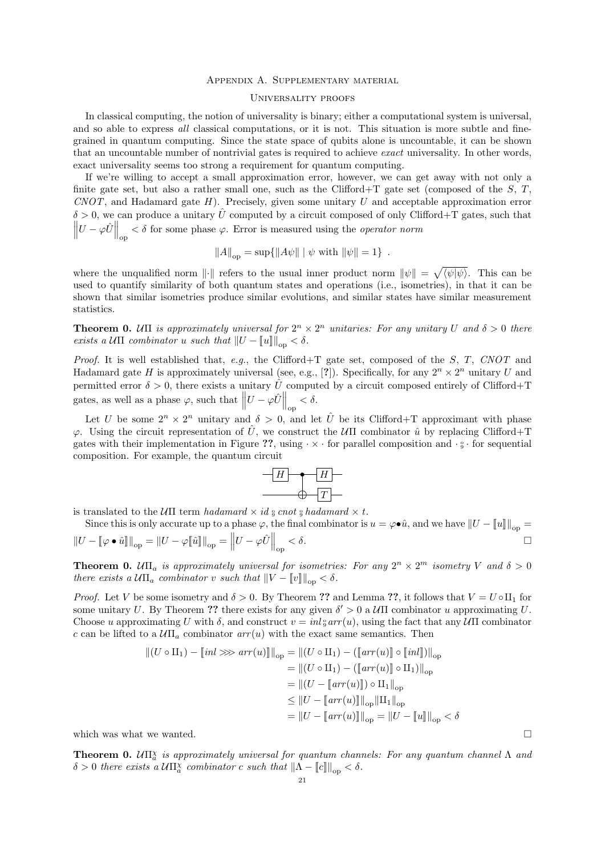## Appendix A. Supplementary material

## Universality proofs

In classical computing, the notion of universality is binary; either a computational system is universal, and so able to express all classical computations, or it is not. This situation is more subtle and finegrained in quantum computing. Since the state space of qubits alone is uncountable, it can be shown that an uncountable number of nontrivial gates is required to achieve exact universality. In other words, exact universality seems too strong a requirement for quantum computing.

If we're willing to accept a small approximation error, however, we can get away with not only a finite gate set, but also a rather small one, such as the Clifford+T gate set (composed of the  $S, T$ ,  $CNOT$ , and Hadamard gate H). Precisely, given some unitary U and acceptable approximation error  $\delta > 0$ , we can produce a unitary  $\hat{U}$  computed by a circuit composed of only Clifford+T gates, such that  $\left\|U - \varphi \hat{U}\right\|_{\text{op}} < \delta$  for some phase  $\varphi$ . Error is measured using the *operator norm* 

$$
||A||_{op} = \sup\{||A\psi|| \mid \psi \text{ with } ||\psi|| = 1\}.
$$

where the unqualified norm  $\|\cdot\|$  refers to the usual inner product norm  $\|\psi\| = \sqrt{\langle \psi | \psi \rangle}$ . This can be used to quantify similarity of both quantum states and operations (i.e., isometries), in that it can be shown that similar isometries produce similar evolutions, and similar states have similar measurement statistics.

**Theorem 0.** UII is approximately universal for  $2^n \times 2^n$  unitaries: For any unitary U and  $\delta > 0$  there exists a  $U\Pi$  combinator u such that  $||U - ||u||||_{\text{on}} < \delta$ .

Proof. It is well established that, e.g., the Clifford+T gate set, composed of the S, T, CNOT and Hadamard gate H is approximately universal (see, e.g., [?]). Specifically, for any  $2^n \times 2^n$  unitary U and permitted error  $\delta > 0$ , there exists a unitary  $\hat{U}$  computed by a circuit composed entirely of Clifford+T gates, as well as a phase  $\varphi$ , such that  $||U - \varphi \hat{U}||_{op} < \delta$ .

Let U be some  $2^n \times 2^n$  unitary and  $\delta > 0$ , and let  $\hat{U}$  be its Clifford+T approximant with phase  $\varphi$ . Using the circuit representation of  $\hat{U}$ , we construct the  $\partial U$  combinator  $\hat{u}$  by replacing Clifford+T gates with their implementation in Figure ??, using  $\cdot \times \cdot$  for parallel composition and  $\cdot \cdot \cdot$ . composition. For example, the quantum circuit



is translated to the  $U\Pi$  term hadamard  $\times$  id  $\frac{1}{9}$  cnot  $\frac{1}{9}$  hadamard  $\times$  t.

Since this is only accurate up to a phase  $\varphi$ , the final combinator is  $u = \varphi \bullet \hat{u}$ , and we have  $||U - ||u|||_{op} =$ <br>  $||U - \varphi|| ||u|| = ||U - \varphi|| ||\cdot \varphi \delta$ .  $\left\| U - \left\llbracket \varphi \bullet \hat{u} \right\rrbracket \right\|_{\text{op}} = \left\| U - \varphi \llbracket \hat{u} \rrbracket \right\|_{\text{op}} = \left\| U - \varphi \hat{U} \right\|_{\text{op}}$  $< \delta$ .

**Theorem 0.**  $U\Pi_a$  is approximately universal for isometries: For any  $2^n \times 2^m$  isometry V and  $\delta > 0$ there exists a  $U\Pi_a$  combinator v such that  $||V - ||v||_{op} < \delta$ .

*Proof.* Let V be some isometry and  $\delta > 0$ . By Theorem ?? and Lemma ??, it follows that  $V = U \circ \Pi_1$  for some unitary U. By Theorem ?? there exists for any given  $\delta' > 0$  a  $\mathcal{U}\Pi$  combinator u approximating U. Choose u approximating U with  $\delta$ , and construct  $v = inl_{\theta}^{s} arr(u)$ , using the fact that any  $U\Pi$  combinator c can be lifted to a  $U\Pi_a$  combinator  $arr(u)$  with the exact same semantics. Then

$$
||(U \circ \Pi_1) - [inl \ggg arr(u)]||_{op} = ||(U \circ \Pi_1) - ([arr(u)] \circ [inl])||_{op}
$$
  
\n
$$
= ||(U \circ \Pi_1) - ([arr(u)] \circ \Pi_1)||_{op}
$$
  
\n
$$
= ||(U - [arr(u)]) \circ \Pi_1||_{op}
$$
  
\n
$$
\leq ||U - [arr(u)]||_{op} ||\Pi_1||_{op}
$$
  
\n
$$
= ||U - [arr(u)]||_{op} = ||U - [u]||_{op} < \delta
$$

which was what we wanted.  $\square$ 

**Theorem 0.**  $U\Pi_{a}^{\chi}$  is approximately universal for quantum channels: For any quantum channel  $\Lambda$  and  $\delta > 0$  there exists a  $U\Pi^{\chi}_{a}$  combinator c such that  $\|\Lambda - \llbracket c \rrbracket \|_{op} < \delta$ .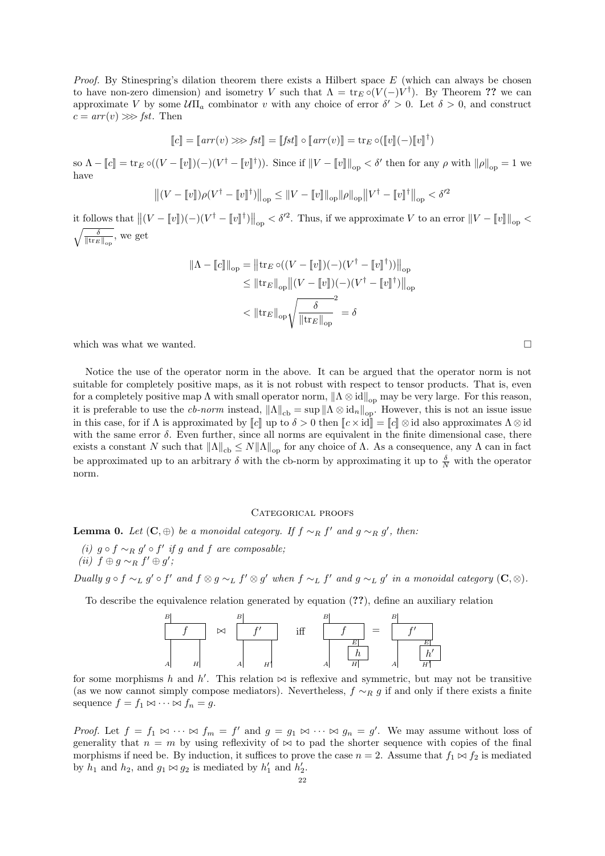*Proof.* By Stinespring's dilation theorem there exists a Hilbert space  $E$  (which can always be chosen to have non-zero dimension) and isometry V such that  $\Lambda = \text{tr}_E \circ (V(-)V^{\dagger})$ . By Theorem ?? we can approximate V by some  $\mathcal{U}\Pi_a$  combinator v with any choice of error  $\delta' > 0$ . Let  $\delta > 0$ , and construct  $c = arr(v) \gg fst$ . Then

$$
\llbracket c \rrbracket = \llbracket arr(v) \ggg fst \rrbracket = \llbracket fst \rrbracket \circ \llbracket arr(v) \rrbracket = \text{tr}_E \circ (\llbracket v \rrbracket (-) \llbracket v \rrbracket^{\dagger})
$$

so  $\Lambda - \llbracket c \rrbracket = \text{tr}_E \circ ((V - \llbracket v \rrbracket)(-) (V^{\dagger} - \llbracket v \rrbracket^{\dagger})).$  Since if  $\|V - \llbracket v \rrbracket \|_{\text{op}} < \delta'$  then for any  $\rho$  with  $\|\rho\|_{\text{op}} = 1$  we have

$$
\left\| (V - \llbracket v \rrbracket) \rho (V^{\dagger} - \llbracket v \rrbracket^{\dagger}) \right\|_{\text{op}} \leq \| V - \llbracket v \rrbracket \|_{\text{op}} \| \rho \|_{\text{op}} \| V^{\dagger} - \llbracket v \rrbracket^{\dagger} \|_{\text{op}} < \delta'^2
$$

it follows that  $||(V - ||v||)(-(V^{\dagger} - ||v||^{\dagger})||_{op} < \delta'^2$ . Thus, if we approximate V to an error  $||V - ||v||||_{op} < \sqrt{2\pi}$  $\sqrt{\frac{\delta}{\|\text{tr}_E\|_{\text{op}}}},$  we get

$$
\begin{aligned} \|\Lambda - \llbracket c \rrbracket\|_{\text{op}} &= \left\|\mathrm{tr}_E \circ ((V - \llbracket v \rrbracket)(-)(V^\dagger - \llbracket v \rrbracket^\dagger))\right\|_{\text{op}} \\ &\leq \left\|\mathrm{tr}_E\right\|_{\text{op}} \left\|(V - \llbracket v \rrbracket)(-)(V^\dagger - \llbracket v \rrbracket^\dagger)\right\|_{\text{op}} \\ &< \left\|\mathrm{tr}_E\right\|_{\text{op}} \sqrt{\frac{\delta}{\left\|\mathrm{tr}_E\right\|_{\text{op}}}} = \delta \end{aligned}
$$

which was what we wanted.  $\square$ 

Notice the use of the operator norm in the above. It can be argued that the operator norm is not suitable for completely positive maps, as it is not robust with respect to tensor products. That is, even for a completely positive map  $\Lambda$  with small operator norm,  $\|\Lambda \otimes id\|_{\text{op}}$  may be very large. For this reason, it is preferable to use the *cb-norm* instead,  $||\Lambda||_{cb} = \sup ||\Lambda \otimes id_{n}||_{op}^{cf}$ . However, this is not an issue issue in this case, for if  $\Lambda$  is approximated by  $\llbracket c \rrbracket$  up to  $\delta > 0$  then  $\llbracket c \times \text{id} \rrbracket = \llbracket c \rrbracket \otimes \text{id}$  also approximates  $\Lambda \otimes \text{id}$ with the same error  $\delta$ . Even further, since all norms are equivalent in the finite dimensional case, there exists a constant N such that  $\|\Lambda\|_{cb} \leq N\|\Lambda\|_{op}$  for any choice of  $\Lambda$ . As a consequence, any  $\Lambda$  can in fact be approximated up to an arbitrary  $\delta$  with the cb-norm by approximating it up to  $\frac{\delta}{N}$  with the operator norm.

#### CATEGORICAL PROOFS

**Lemma 0.** Let  $(C, \oplus)$  be a monoidal category. If  $f \sim_R f'$  and  $g \sim_R g'$ , then:

(i)  $g \circ f \sim_R g' \circ f'$  if g and f are composable; (ii)  $f \oplus g \sim_R f' \oplus g'$ ;

Dually  $g \circ f \sim_L g' \circ f'$  and  $f \otimes g \sim_L f' \otimes g'$  when  $f \sim_L f'$  and  $g \sim_L g'$  in a monoidal category  $(C, \otimes)$ .

To describe the equivalence relation generated by equation (??), define an auxiliary relation

| B |           |   |                  |     |            |
|---|-----------|---|------------------|-----|------------|
|   | $\bowtie$ |   | $\cdot$ $\alpha$ | $=$ | $\epsilon$ |
|   |           |   |                  |     |            |
| А |           | Н |                  |     |            |

for some morphisms h and h'. This relation  $\bowtie$  is reflexive and symmetric, but may not be transitive (as we now cannot simply compose mediators). Nevertheless,  $f \sim_R g$  if and only if there exists a finite sequence  $f = f_1 \Join \cdots \Join f_n = g$ .

*Proof.* Let  $f = f_1 \bowtie \cdots \bowtie f_m = f'$  and  $g = g_1 \bowtie \cdots \bowtie g_n = g'$ . We may assume without loss of generality that  $n = m$  by using reflexivity of  $\bowtie$  to pad the shorter sequence with copies of the final morphisms if need be. By induction, it suffices to prove the case  $n = 2$ . Assume that  $f_1 \bowtie f_2$  is mediated by  $h_1$  and  $h_2$ , and  $g_1 \bowtie g_2$  is mediated by  $h'_1$  and  $h'_2$ .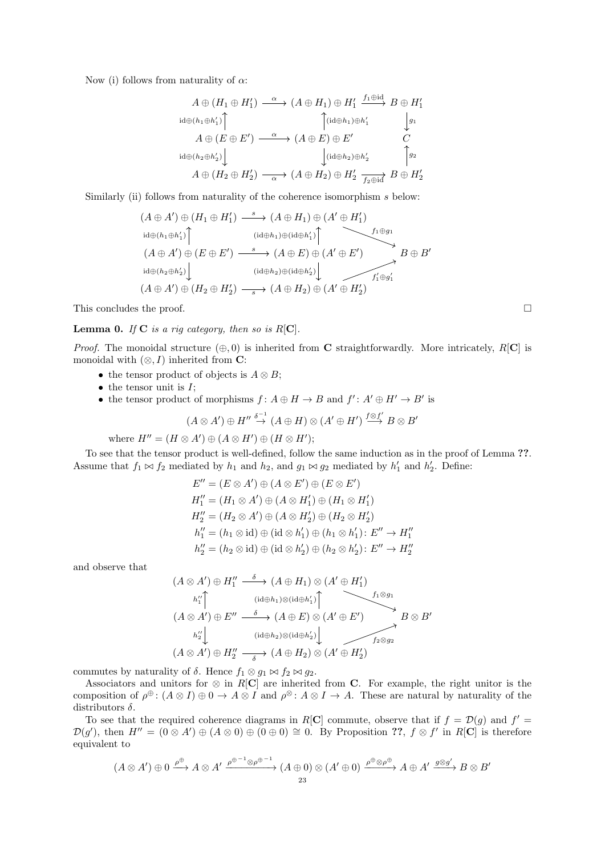Now (i) follows from naturality of  $\alpha$ :

$$
A \oplus (H_1 \oplus H'_1) \xrightarrow{\alpha} (A \oplus H_1) \oplus H'_1 \xrightarrow{f_1 \oplus id} B \oplus H'_1
$$
  
\n
$$
A \oplus (E \oplus E') \xrightarrow{\alpha} (A \oplus E) \oplus E'
$$
  
\n
$$
A \oplus (H_2 \oplus h'_2) \downarrow \qquad \qquad \downarrow g_1
$$
  
\n
$$
A \oplus (H_2 \oplus H'_2) \xrightarrow{\alpha} (A \oplus H_2) \oplus H'_2 \xrightarrow{f_2 \oplus id} B \oplus H'_2
$$

Similarly (ii) follows from naturality of the coherence isomorphism s below:

$$
(A \oplus A') \oplus (H_1 \oplus H'_1) \xrightarrow{s} (A \oplus H_1) \oplus (A' \oplus H'_1)
$$
  
\n
$$
\downarrow id \oplus (h_1 \oplus h'_1) \uparrow \qquad (\downarrow id \oplus h_1) \oplus (\downarrow id \oplus h'_1) \uparrow \qquad f_1 \oplus g_1
$$
  
\n
$$
(A \oplus A') \oplus (E \oplus E') \xrightarrow{s} (A \oplus E) \oplus (A' \oplus E') \xrightarrow{s} B \oplus B'
$$
  
\n
$$
\downarrow id \oplus (h_2 \oplus h'_2) \downarrow \qquad (\downarrow id \oplus h_2) \oplus (\downarrow id \oplus h'_2) \downarrow \qquad f'_1 \oplus g'_1
$$
  
\n
$$
(A \oplus A') \oplus (H_2 \oplus H'_2) \xrightarrow{s} (A \oplus H_2) \oplus (A' \oplus H'_2)
$$

This concludes the proof.

**Lemma 0.** If  $C$  is a rig category, then so is  $R[C]$ .

*Proof.* The monoidal structure  $(\oplus, 0)$  is inherited from **C** straightforwardly. More intricately,  $R[\mathbf{C}]$  is monoidal with  $(\otimes, I)$  inherited from **C**:

- the tensor product of objects is  $A \otimes B$ ;
- $\bullet$  the tensor unit is  $I$ ;
- the tensor product of morphisms  $f: A \oplus H \to B$  and  $f': A' \oplus H' \to B'$  is

$$
(A \otimes A') \oplus H'' \stackrel{\delta^{-1}}{\rightarrow} (A \oplus H) \otimes (A' \oplus H') \stackrel{f \otimes f'}{\longrightarrow} B \otimes B'
$$

where  $H'' = (H \otimes A') \oplus (A \otimes H') \oplus (H \otimes H')$ ;

To see that the tensor product is well-defined, follow the same induction as in the proof of Lemma ??. Assume that  $f_1 \bowtie f_2$  mediated by  $h_1$  and  $h_2$ , and  $g_1 \bowtie g_2$  mediated by  $h'_1$  and  $h'_2$ . Define:

$$
E'' = (E \otimes A') \oplus (A \otimes E') \oplus (E \otimes E')
$$
  
\n
$$
H''_1 = (H_1 \otimes A') \oplus (A \otimes H'_1) \oplus (H_1 \otimes H'_1)
$$
  
\n
$$
H''_2 = (H_2 \otimes A') \oplus (A \otimes H'_2) \oplus (H_2 \otimes H'_2)
$$
  
\n
$$
h''_1 = (h_1 \otimes id) \oplus (id \otimes h'_1) \oplus (h_1 \otimes h'_1) : E'' \to H''_1
$$
  
\n
$$
h''_2 = (h_2 \otimes id) \oplus (id \otimes h'_2) \oplus (h_2 \otimes h'_2) : E'' \to H''_2
$$

and observe that

$$
(A \otimes A') \oplus H''_1 \xrightarrow{\delta} (A \oplus H_1) \otimes (A' \oplus H'_1)
$$
  
\n
$$
h''_1 \uparrow \qquad (\mathrm{id} \oplus h_1) \otimes (\mathrm{id} \oplus h'_1) \uparrow \qquad f_1 \otimes g_1
$$
  
\n
$$
(A \otimes A') \oplus E'' \xrightarrow{\delta} (A \oplus E) \otimes (A' \oplus E') \xrightarrow{\delta} B \otimes B'
$$
  
\n
$$
h''_2 \downarrow \qquad (\mathrm{id} \oplus h_2) \otimes (\mathrm{id} \oplus h'_2) \downarrow \qquad f_2 \otimes g_2
$$
  
\n
$$
(A \otimes A') \oplus H''_2 \xrightarrow{\delta} (A \oplus H_2) \otimes (A' \oplus H'_2)
$$

commutes by naturality of  $\delta$ . Hence  $f_1 \otimes g_1 \bowtie f_2 \bowtie g_2$ .

Associators and unitors for  $\otimes$  in R[C] are inherited from C. For example, the right unitor is the composition of  $\rho^{\oplus}$ :  $(A \otimes I) \oplus 0 \to A \otimes I$  and  $\rho^{\otimes}$ :  $A \otimes I \to A$ . These are natural by naturality of the distributors  $\delta$ .

To see that the required coherence diagrams in R[C] commute, observe that if  $f = \mathcal{D}(g)$  and  $f' =$  $\mathcal{D}(g')$ , then  $H'' = (0 \otimes A') \oplus (A \otimes 0) \oplus (0 \oplus 0) \cong 0$ . By Proposition ??,  $f \otimes f'$  in R[C] is therefore equivalent to

$$
(A \otimes A') \oplus 0 \xrightarrow{\rho \oplus} A \otimes A' \xrightarrow{\rho \oplus^{-1} \otimes \rho \oplus^{-1}} (A \oplus 0) \otimes (A' \oplus 0) \xrightarrow{\rho \oplus \otimes \rho \oplus} A \oplus A' \xrightarrow{g \otimes g'} B \otimes B'
$$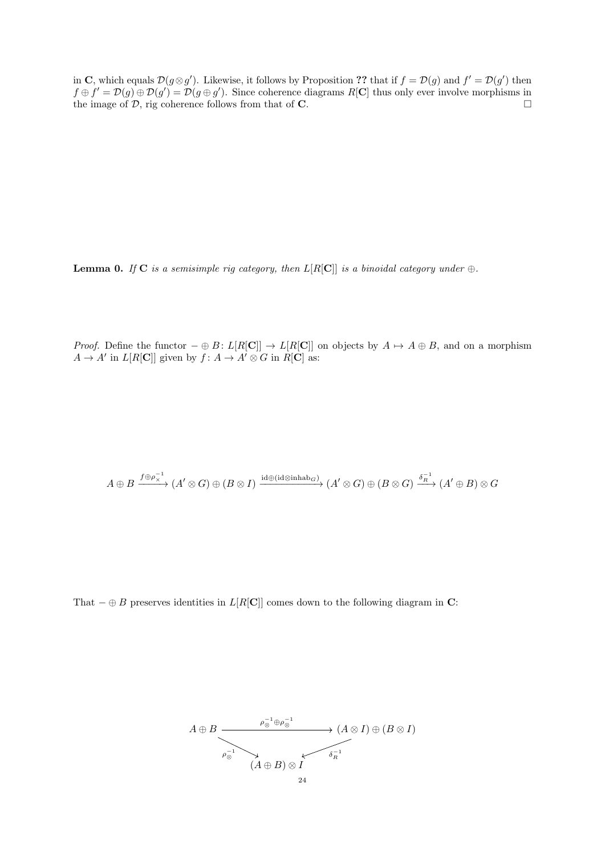in C, which equals  $\mathcal{D}(g \otimes g')$ . Likewise, it follows by Proposition ?? that if  $f = \mathcal{D}(g)$  and  $f' = \mathcal{D}(g')$  then  $f \oplus f' = \mathcal{D}(g) \oplus \mathcal{D}(g') = \mathcal{D}(g \oplus g')$ . Since coherence diagrams R[C] thus only ever involve morphisms in the image of  $D$ , rig coherence follows from that of **C**.

**Lemma 0.** If C is a semisimple rig category, then  $L[R[\mathbf{C}]]$  is a binoidal category under  $\oplus$ .

*Proof.* Define the functor  $-\oplus B: L[R[\mathbf{C}]] \to L[R[\mathbf{C}]]$  on objects by  $A \mapsto A \oplus B$ , and on a morphism  $A \to A'$  in  $L[R[\mathbf{C}]]$  given by  $f: A \to A' \otimes G$  in  $R[\mathbf{C}]$  as:

$$
A\oplus B \xrightarrow{f\oplus \rho_X^{-1}} (A'\otimes G) \oplus (B\otimes I) \xrightarrow{{\rm id} \oplus ({\rm id}\otimes {\rm inhab}_G)} (A'\otimes G) \oplus (B\otimes G) \xrightarrow{\delta_R^{-1}} (A'\oplus B)\otimes G
$$

That  $-\oplus B$  preserves identities in  $L[R[\mathbf{C}]]$  comes down to the following diagram in C:

$$
A \oplus B \xrightarrow{\rho_{\otimes}^{-1} \oplus \rho_{\otimes}^{-1}} (A \otimes I) \oplus (B \otimes I)
$$
  
\n
$$
\xrightarrow{\rho_{\otimes}^{-1}} (A \oplus B) \otimes I
$$
  
\n
$$
A \oplus B \oplus A
$$
  
\n
$$
B \oplus B
$$
  
\n
$$
B \oplus I
$$
  
\n
$$
B \oplus I
$$
  
\n
$$
B \oplus I
$$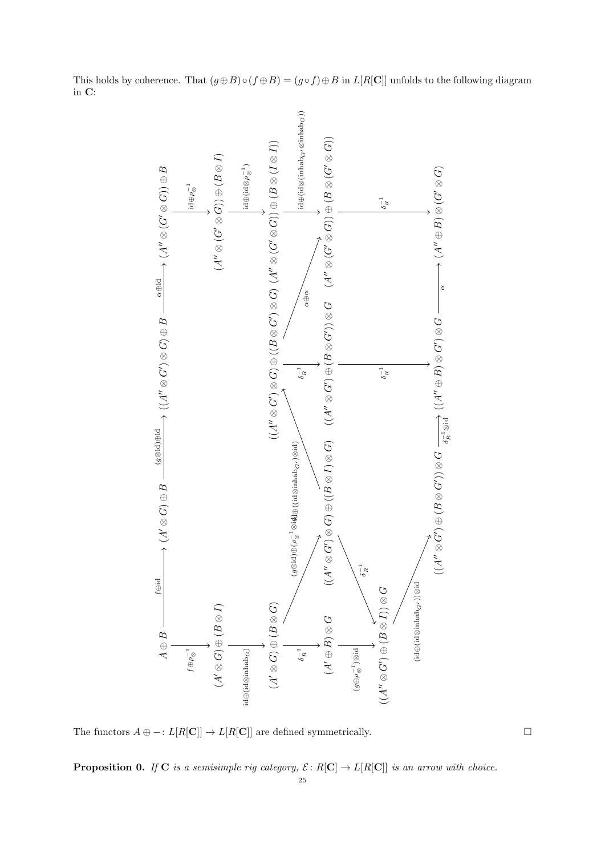This holds by coherence. That  $(g \oplus B) \circ (f \oplus B) = (g \circ f) \oplus B$  in  $L[R[\mathbf{C}]]$  unfolds to the following diagram in C:



The functors  $A \oplus -: L[R[\mathbf{C}]] \to L[R[\mathbf{C}]]$  are defined symmetrically.

**Proposition 0.** If **C** is a semisimple rig category,  $\mathcal{E} : R[\mathbf{C}] \to L[R[\mathbf{C}]]$  is an arrow with choice.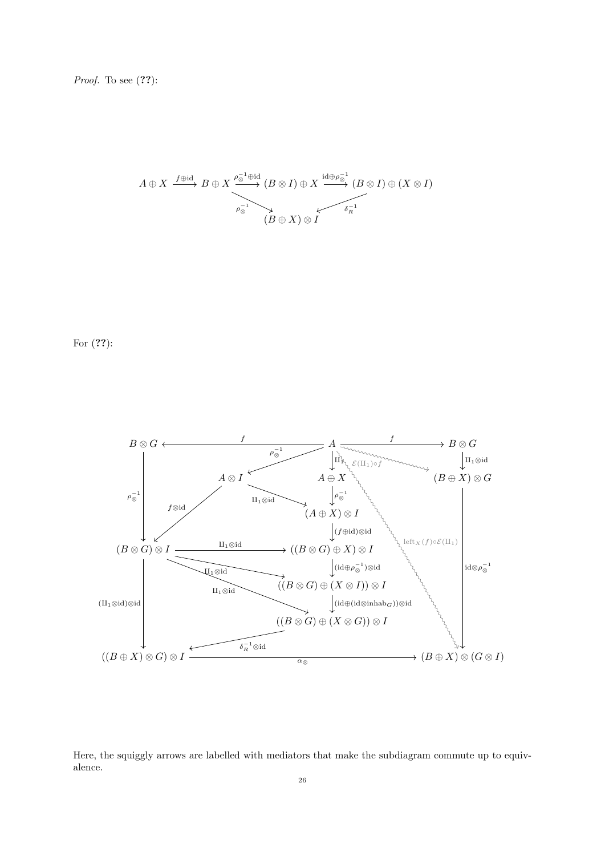*Proof.* To see  $(??)$ :

$$
A \oplus X \xrightarrow{f \oplus \mathrm{id}} B \oplus X \xrightarrow{\rho_{\otimes}^{-1} \oplus \mathrm{id}} (B \otimes I) \oplus X \xrightarrow{\mathrm{id} \oplus \rho_{\otimes}^{-1}} (B \otimes I) \oplus (X \otimes I)
$$
  
\n
$$
\xrightarrow{\rho_{\otimes}^{-1}} (B \oplus X) \otimes I
$$

For  $(??)$ :



Here, the squiggly arrows are labelled with mediators that make the subdiagram commute up to equivalence.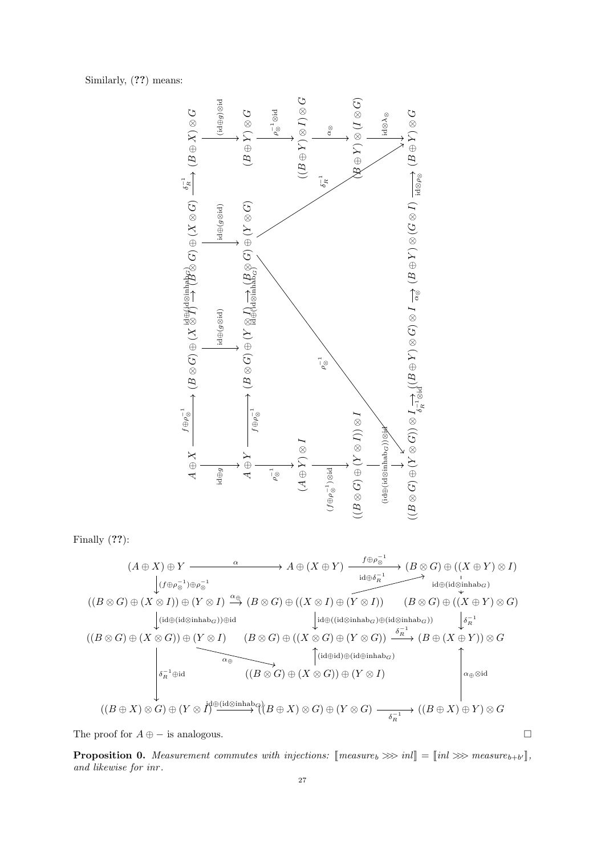Similarly, (??) means:



Finally (??):

$$
(A \oplus X) \oplus Y \xrightarrow{\alpha} A \oplus (X \oplus Y) \xrightarrow{\text{if} \oplus \rho_{\otimes}^{-1}} (B \otimes G) \oplus ((X \oplus Y) \otimes I)
$$
\n
$$
\downarrow (f \oplus \rho_{\otimes}^{-1}) \oplus \rho_{\otimes}^{-1}
$$
\n
$$
((B \otimes G) \oplus (X \otimes I)) \oplus (Y \otimes I) \xrightarrow{\alpha \oplus} (B \otimes G) \oplus ((X \otimes I) \oplus (Y \otimes I)) \xrightarrow{\text{if} \oplus (\text{id} \otimes \text{inhab}_G)} (B \otimes G) \oplus ((X \oplus Y) \otimes G)
$$
\n
$$
\downarrow (\text{id} \oplus (\text{id} \otimes \text{inhab}_G)) \oplus \text{id}
$$
\n
$$
((B \otimes G) \oplus (X \otimes G)) \oplus (Y \otimes I) \xrightarrow{\alpha \oplus} (B \otimes G) \oplus ((X \otimes G) \oplus (Y \otimes G)) \xrightarrow{\delta_R^{-1}} (B \oplus (X \oplus Y)) \otimes G
$$
\n
$$
\downarrow \qquad \qquad (\text{id} \oplus \text{id}) \oplus (\text{id} \oplus \text{inhab}_G)
$$
\n
$$
\downarrow (\text{id} \oplus \text{id}) \oplus (\text{id} \oplus \text{inhab}_G)
$$
\n
$$
\downarrow (\text{id} \oplus \text{id}) \oplus (\text{id} \oplus \text{inhab}_G)
$$
\n
$$
\downarrow (\text{id} \oplus \text{id}) \oplus (\text{id} \oplus \text{inhab}_G)
$$
\n
$$
\downarrow (\text{id} \oplus \text{id}) \oplus (\text{id} \oplus \text{inhab}_G)
$$
\n
$$
((B \oplus X) \otimes G) \oplus (Y \otimes I) \xrightarrow{\delta_R^{-1}} ((B \oplus X) \otimes G) \oplus (Y \otimes G) \xrightarrow{\delta_R^{-1}} ((B \oplus X) \oplus Y) \otimes G
$$

The proof for  $A \oplus -$  is analogous.

**Proposition 0.** Measurement commutes with injections:  $\text{[measure}_b \ggg in \text{] } = \text{[}inl \ggg \text{ measure}_{b+b'} \text{]}$ , and likewise for inn and likewise for inr .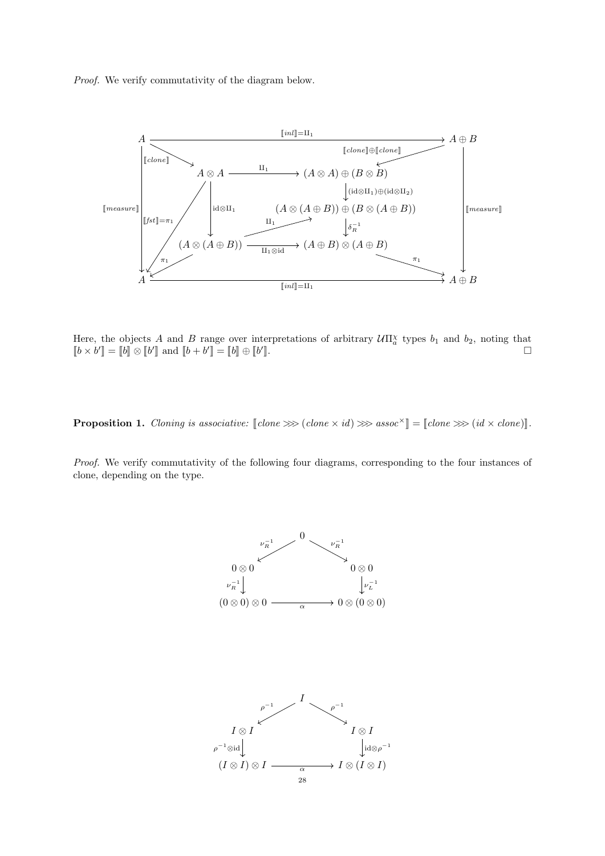Proof. We verify commutativity of the diagram below.



Here, the objects A and B range over interpretations of arbitrary  $U\Pi_a^{\chi}$  types  $b_1$  and  $b_2$ , noting that  $[[b \times b']]=[[b]] \otimes [[b']]$  and  $[[b+b']]=[[b]] \oplus [[b']$  $\Box$ 

**Proposition 1.** Cloning is associative:  $\llbracket \text{clone } \gg \gg (\text{clone } \times \text{id}) \gg \text{assoc}^{\times} \rrbracket = \llbracket \text{clone } \gg \gg (\text{id} \times \text{clone}) \rrbracket.$ 

Proof. We verify commutativity of the following four diagrams, corresponding to the four instances of clone, depending on the type.

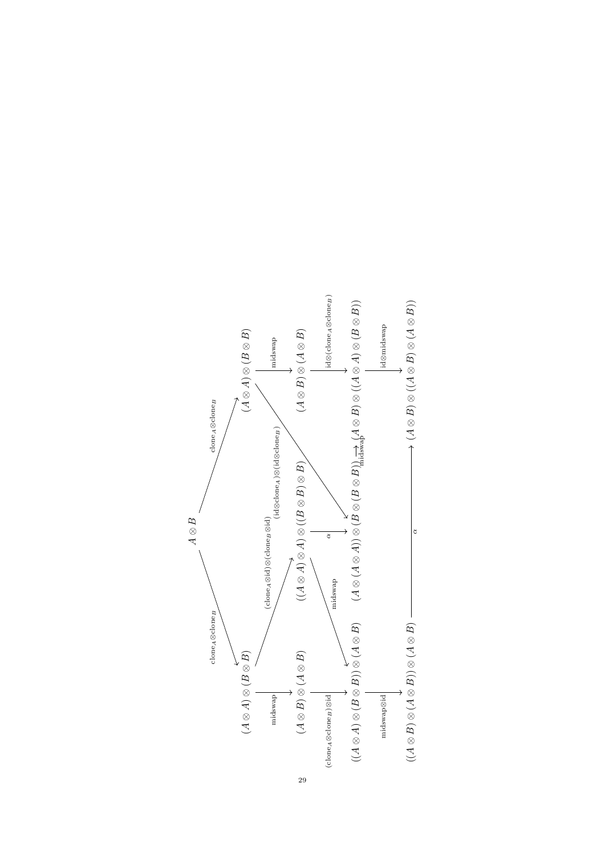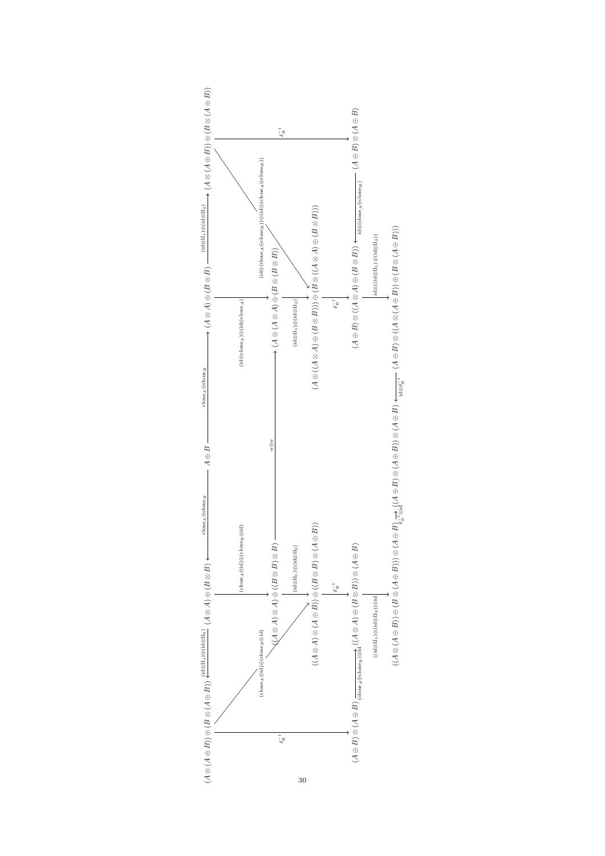